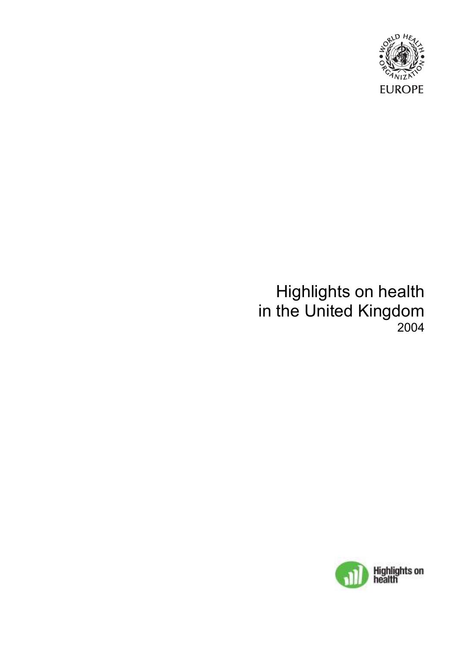

# Highlights on health in the United Kingdom 2004

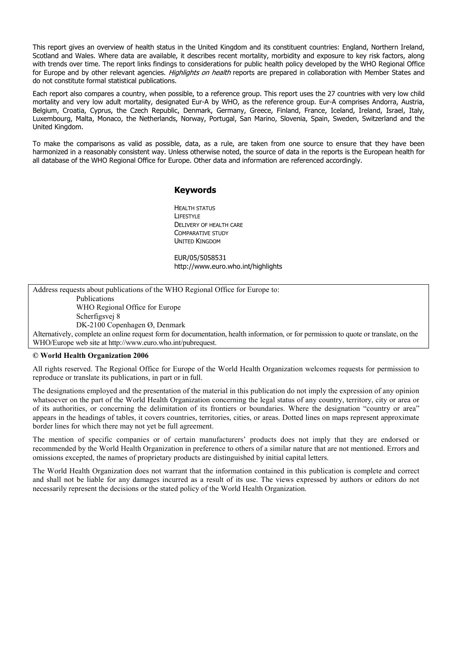This report gives an overview of health status in the United Kingdom and its constituent countries: England, Northern Ireland, Scotland and Wales. Where data are available, it describes recent mortality, morbidity and exposure to key risk factors, along with trends over time. The report links findings to considerations for public health policy developed by the WHO Regional Office for Europe and by other relevant agencies. Highlights on health reports are prepared in collaboration with Member States and do not constitute formal statistical publications.

Each report also compares a country, when possible, to a reference group. This report uses the 27 countries with very low child mortality and very low adult mortality, designated Eur-A by WHO, as the reference group. Eur-A comprises Andorra, Austria, Belgium, Croatia, Cyprus, the Czech Republic, Denmark, Germany, Greece, Finland, France, Iceland, Ireland, Israel, Italy, Luxembourg, Malta, Monaco, the Netherlands, Norway, Portugal, San Marino, Slovenia, Spain, Sweden, Switzerland and the United Kingdom.

To make the comparisons as valid as possible, data, as a rule, are taken from one source to ensure that they have been harmonized in a reasonably consistent way. Unless otherwise noted, the source of data in the reports is the European health for all database of the WHO Regional Office for Europe. Other data and information are referenced accordingly.

#### Keywords

**HEALTH STATUS** LIFESTYLE DELIVERY OF HEALTH CARE COMPARATIVE STUDY UNITED KINGDOM

EUR/05/5058531 http://www.euro.who.int/highlights

Address requests about publications of the WHO Regional Office for Europe to: Publications WHO Regional Office for Europe Scherfigsvej 8

DK-2100 Copenhagen Ø, Denmark

Alternatively, complete an online request form for documentation, health information, or for permission to quote or translate, on the WHO/Europe web site at http://www.euro.who.int/pubrequest.

#### © World Health Organization 2006

All rights reserved. The Regional Office for Europe of the World Health Organization welcomes requests for permission to reproduce or translate its publications, in part or in full.

The designations employed and the presentation of the material in this publication do not imply the expression of any opinion whatsoever on the part of the World Health Organization concerning the legal status of any country, territory, city or area or of its authorities, or concerning the delimitation of its frontiers or boundaries. Where the designation "country or area" appears in the headings of tables, it covers countries, territories, cities, or areas. Dotted lines on maps represent approximate border lines for which there may not yet be full agreement.

The mention of specific companies or of certain manufacturers' products does not imply that they are endorsed or recommended by the World Health Organization in preference to others of a similar nature that are not mentioned. Errors and omissions excepted, the names of proprietary products are distinguished by initial capital letters.

The World Health Organization does not warrant that the information contained in this publication is complete and correct and shall not be liable for any damages incurred as a result of its use. The views expressed by authors or editors do not necessarily represent the decisions or the stated policy of the World Health Organization.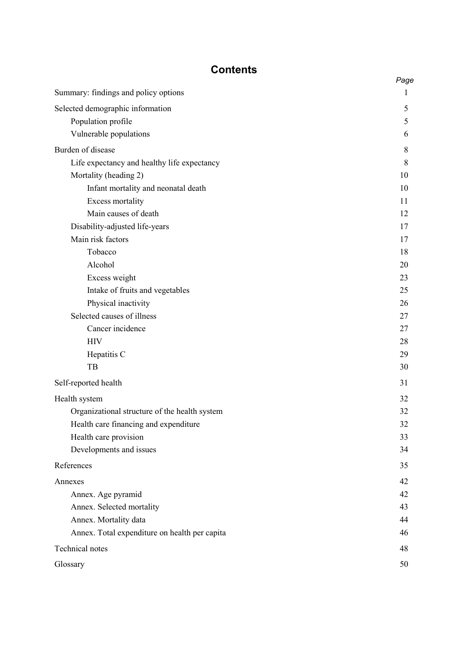## **Contents**

|                                               | Page |
|-----------------------------------------------|------|
| Summary: findings and policy options          | 1    |
| Selected demographic information              | 5    |
| Population profile                            | 5    |
| Vulnerable populations                        | 6    |
| Burden of disease                             | 8    |
| Life expectancy and healthy life expectancy   | 8    |
| Mortality (heading 2)                         | 10   |
| Infant mortality and neonatal death           | 10   |
| <b>Excess mortality</b>                       | 11   |
| Main causes of death                          | 12   |
| Disability-adjusted life-years                | 17   |
| Main risk factors                             | 17   |
| Tobacco                                       | 18   |
| Alcohol                                       | 20   |
| Excess weight                                 | 23   |
| Intake of fruits and vegetables               | 25   |
| Physical inactivity                           | 26   |
| Selected causes of illness                    | 27   |
| Cancer incidence                              | 27   |
| <b>HIV</b>                                    | 28   |
| Hepatitis C                                   | 29   |
| TB                                            | 30   |
| Self-reported health                          | 31   |
| Health system                                 | 32   |
| Organizational structure of the health system | 32   |
| Health care financing and expenditure         | 32   |
| Health care provision                         | 33   |
| Developments and issues                       | 34   |
| References                                    | 35   |
| Annexes                                       | 42   |
| Annex. Age pyramid                            | 42   |
| Annex. Selected mortality                     | 43   |
| Annex. Mortality data                         | 44   |
| Annex. Total expenditure on health per capita | 46   |
| <b>Technical notes</b>                        | 48   |
| Glossary                                      | 50   |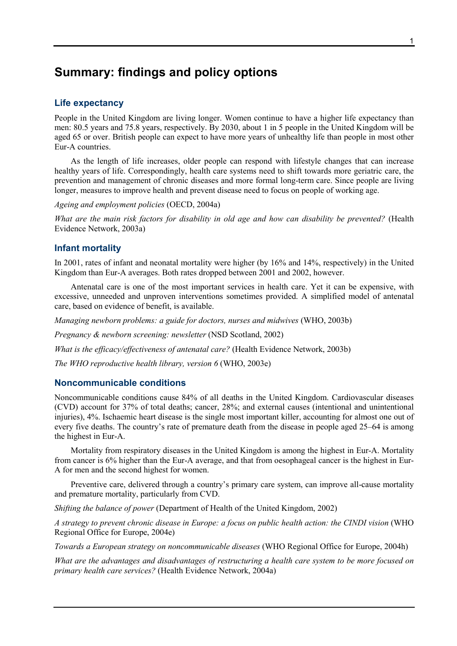## Summary: findings and policy options

## Life expectancy

People in the United Kingdom are living longer. Women continue to have a higher life expectancy than men: 80.5 years and 75.8 years, respectively. By 2030, about 1 in 5 people in the United Kingdom will be aged 65 or over. British people can expect to have more years of unhealthy life than people in most other Eur-A countries.

As the length of life increases, older people can respond with lifestyle changes that can increase healthy years of life. Correspondingly, health care systems need to shift towards more geriatric care, the prevention and management of chronic diseases and more formal long-term care. Since people are living longer, measures to improve health and prevent disease need to focus on people of working age.

Ageing and employment policies (OECD, 2004a)

What are the main risk factors for disability in old age and how can disability be prevented? (Health Evidence Network, 2003a)

## Infant mortality

In 2001, rates of infant and neonatal mortality were higher (by 16% and 14%, respectively) in the United Kingdom than Eur-A averages. Both rates dropped between 2001 and 2002, however.

Antenatal care is one of the most important services in health care. Yet it can be expensive, with excessive, unneeded and unproven interventions sometimes provided. A simplified model of antenatal care, based on evidence of benefit, is available.

Managing newborn problems: a guide for doctors, nurses and midwives (WHO, 2003b)

Pregnancy & newborn screening: newsletter (NSD Scotland, 2002)

What is the efficacy/effectiveness of antenatal care? (Health Evidence Network, 2003b)

The WHO reproductive health library, version 6 (WHO, 2003e)

### Noncommunicable conditions

Noncommunicable conditions cause 84% of all deaths in the United Kingdom. Cardiovascular diseases (CVD) account for 37% of total deaths; cancer, 28%; and external causes (intentional and unintentional injuries), 4%. Ischaemic heart disease is the single most important killer, accounting for almost one out of every five deaths. The country's rate of premature death from the disease in people aged 25–64 is among the highest in Eur-A.

Mortality from respiratory diseases in the United Kingdom is among the highest in Eur-A. Mortality from cancer is 6% higher than the Eur-A average, and that from oesophageal cancer is the highest in Eur-A for men and the second highest for women.

Preventive care, delivered through a country's primary care system, can improve all-cause mortality and premature mortality, particularly from CVD.

Shifting the balance of power (Department of Health of the United Kingdom, 2002)

A strategy to prevent chronic disease in Europe: a focus on public health action: the CINDI vision (WHO Regional Office for Europe, 2004e)

Towards a European strategy on noncommunicable diseases (WHO Regional Office for Europe, 2004h)

What are the advantages and disadvantages of restructuring a health care system to be more focused on primary health care services? (Health Evidence Network, 2004a)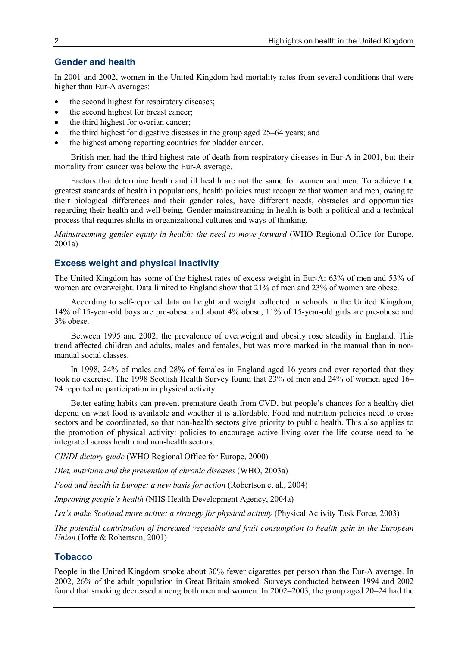## Gender and health

In 2001 and 2002, women in the United Kingdom had mortality rates from several conditions that were higher than Eur-A averages:

- the second highest for respiratory diseases:
- the second highest for breast cancer;
- the third highest for ovarian cancer;
- the third highest for digestive diseases in the group aged 25–64 years; and
- the highest among reporting countries for bladder cancer.

British men had the third highest rate of death from respiratory diseases in Eur-A in 2001, but their mortality from cancer was below the Eur-A average.

Factors that determine health and ill health are not the same for women and men. To achieve the greatest standards of health in populations, health policies must recognize that women and men, owing to their biological differences and their gender roles, have different needs, obstacles and opportunities regarding their health and well-being. Gender mainstreaming in health is both a political and a technical process that requires shifts in organizational cultures and ways of thinking.

Mainstreaming gender equity in health: the need to move forward (WHO Regional Office for Europe, 2001a)

## Excess weight and physical inactivity

The United Kingdom has some of the highest rates of excess weight in Eur-A: 63% of men and 53% of women are overweight. Data limited to England show that 21% of men and 23% of women are obese.

According to self-reported data on height and weight collected in schools in the United Kingdom, 14% of 15-year-old boys are pre-obese and about 4% obese; 11% of 15-year-old girls are pre-obese and 3% obese.

Between 1995 and 2002, the prevalence of overweight and obesity rose steadily in England. This trend affected children and adults, males and females, but was more marked in the manual than in nonmanual social classes.

In 1998, 24% of males and 28% of females in England aged 16 years and over reported that they took no exercise. The 1998 Scottish Health Survey found that 23% of men and 24% of women aged 16– 74 reported no participation in physical activity.

Better eating habits can prevent premature death from CVD, but people's chances for a healthy diet depend on what food is available and whether it is affordable. Food and nutrition policies need to cross sectors and be coordinated, so that non-health sectors give priority to public health. This also applies to the promotion of physical activity: policies to encourage active living over the life course need to be integrated across health and non-health sectors.

CINDI dietary guide (WHO Regional Office for Europe, 2000)

Diet, nutrition and the prevention of chronic diseases (WHO, 2003a)

Food and health in Europe: a new basis for action (Robertson et al., 2004)

Improving people's health (NHS Health Development Agency, 2004a)

Let's make Scotland more active: a strategy for physical activity (Physical Activity Task Force, 2003)

The potential contribution of increased vegetable and fruit consumption to health gain in the European Union (Joffe & Robertson, 2001)

## Tobacco

People in the United Kingdom smoke about 30% fewer cigarettes per person than the Eur-A average. In 2002, 26% of the adult population in Great Britain smoked. Surveys conducted between 1994 and 2002 found that smoking decreased among both men and women. In 2002–2003, the group aged 20–24 had the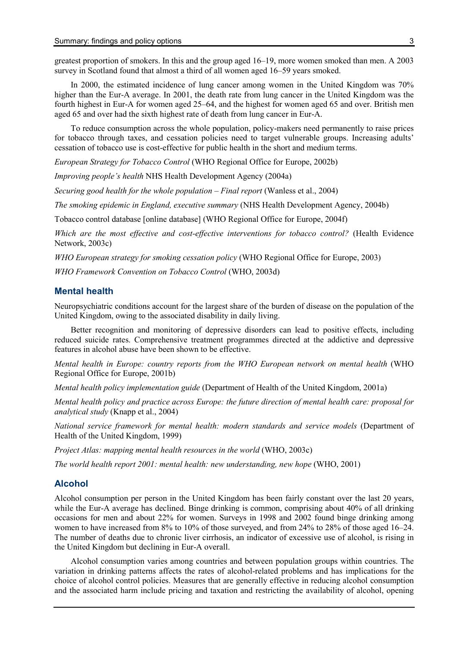greatest proportion of smokers. In this and the group aged 16–19, more women smoked than men. A 2003 survey in Scotland found that almost a third of all women aged 16–59 years smoked.

In 2000, the estimated incidence of lung cancer among women in the United Kingdom was 70% higher than the Eur-A average. In 2001, the death rate from lung cancer in the United Kingdom was the fourth highest in Eur-A for women aged 25–64, and the highest for women aged 65 and over. British men aged 65 and over had the sixth highest rate of death from lung cancer in Eur-A.

To reduce consumption across the whole population, policy-makers need permanently to raise prices for tobacco through taxes, and cessation policies need to target vulnerable groups. Increasing adults' cessation of tobacco use is cost-effective for public health in the short and medium terms.

European Strategy for Tobacco Control (WHO Regional Office for Europe, 2002b)

Improving people's health NHS Health Development Agency (2004a)

Securing good health for the whole population – Final report (Wanless et al., 2004)

The smoking epidemic in England, executive summary (NHS Health Development Agency, 2004b)

Tobacco control database [online database] (WHO Regional Office for Europe, 2004f)

Which are the most effective and cost-effective interventions for tobacco control? (Health Evidence Network, 2003c)

WHO European strategy for smoking cessation policy (WHO Regional Office for Europe, 2003) WHO Framework Convention on Tobacco Control (WHO, 2003d)

#### Mental health

Neuropsychiatric conditions account for the largest share of the burden of disease on the population of the United Kingdom, owing to the associated disability in daily living.

Better recognition and monitoring of depressive disorders can lead to positive effects, including reduced suicide rates. Comprehensive treatment programmes directed at the addictive and depressive features in alcohol abuse have been shown to be effective.

Mental health in Europe: country reports from the WHO European network on mental health (WHO Regional Office for Europe, 2001b)

Mental health policy implementation guide (Department of Health of the United Kingdom, 2001a)

Mental health policy and practice across Europe: the future direction of mental health care: proposal for analytical study (Knapp et al., 2004)

National service framework for mental health: modern standards and service models (Department of Health of the United Kingdom, 1999)

Project Atlas: mapping mental health resources in the world (WHO, 2003c)

The world health report 2001: mental health: new understanding, new hope (WHO, 2001)

### Alcohol

Alcohol consumption per person in the United Kingdom has been fairly constant over the last 20 years, while the Eur-A average has declined. Binge drinking is common, comprising about 40% of all drinking occasions for men and about 22% for women. Surveys in 1998 and 2002 found binge drinking among women to have increased from 8% to 10% of those surveyed, and from 24% to 28% of those aged 16–24. The number of deaths due to chronic liver cirrhosis, an indicator of excessive use of alcohol, is rising in the United Kingdom but declining in Eur-A overall.

Alcohol consumption varies among countries and between population groups within countries. The variation in drinking patterns affects the rates of alcohol-related problems and has implications for the choice of alcohol control policies. Measures that are generally effective in reducing alcohol consumption and the associated harm include pricing and taxation and restricting the availability of alcohol, opening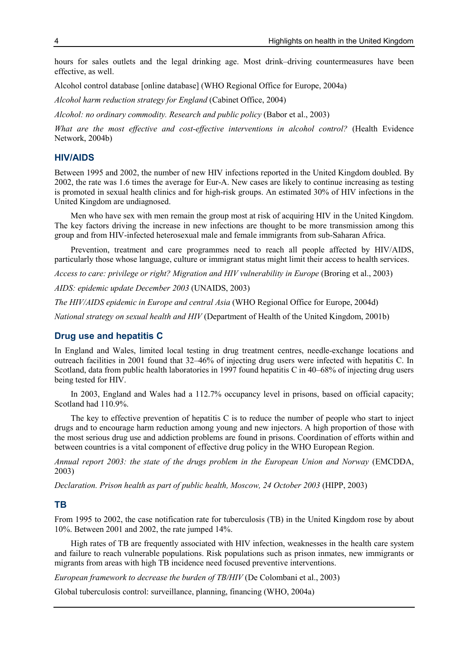hours for sales outlets and the legal drinking age. Most drink–driving countermeasures have been effective, as well.

Alcohol control database [online database] (WHO Regional Office for Europe, 2004a)

Alcohol harm reduction strategy for England (Cabinet Office, 2004)

Alcohol: no ordinary commodity. Research and public policy (Babor et al., 2003)

What are the most effective and cost-effective interventions in alcohol control? (Health Evidence Network, 2004b)

### HIV/AIDS

Between 1995 and 2002, the number of new HIV infections reported in the United Kingdom doubled. By 2002, the rate was 1.6 times the average for Eur-A. New cases are likely to continue increasing as testing is promoted in sexual health clinics and for high-risk groups. An estimated 30% of HIV infections in the United Kingdom are undiagnosed.

Men who have sex with men remain the group most at risk of acquiring HIV in the United Kingdom. The key factors driving the increase in new infections are thought to be more transmission among this group and from HIV-infected heterosexual male and female immigrants from sub-Saharan Africa.

Prevention, treatment and care programmes need to reach all people affected by HIV/AIDS, particularly those whose language, culture or immigrant status might limit their access to health services.

Access to care: privilege or right? Migration and HIV vulnerability in Europe (Broring et al., 2003)

AIDS: epidemic update December 2003 (UNAIDS, 2003)

The HIV/AIDS epidemic in Europe and central Asia (WHO Regional Office for Europe, 2004d)

National strategy on sexual health and HIV (Department of Health of the United Kingdom, 2001b)

#### Drug use and hepatitis C

In England and Wales, limited local testing in drug treatment centres, needle-exchange locations and outreach facilities in 2001 found that 32–46% of injecting drug users were infected with hepatitis C. In Scotland, data from public health laboratories in 1997 found hepatitis C in 40–68% of injecting drug users being tested for HIV.

In 2003, England and Wales had a 112.7% occupancy level in prisons, based on official capacity; Scotland had 110.9%.

The key to effective prevention of hepatitis C is to reduce the number of people who start to inject drugs and to encourage harm reduction among young and new injectors. A high proportion of those with the most serious drug use and addiction problems are found in prisons. Coordination of efforts within and between countries is a vital component of effective drug policy in the WHO European Region.

Annual report 2003: the state of the drugs problem in the European Union and Norway (EMCDDA, 2003)

Declaration. Prison health as part of public health, Moscow, 24 October 2003 (HIPP, 2003)

#### TB

From 1995 to 2002, the case notification rate for tuberculosis (TB) in the United Kingdom rose by about 10%. Between 2001 and 2002, the rate jumped 14%.

High rates of TB are frequently associated with HIV infection, weaknesses in the health care system and failure to reach vulnerable populations. Risk populations such as prison inmates, new immigrants or migrants from areas with high TB incidence need focused preventive interventions.

European framework to decrease the burden of TB/HIV (De Colombani et al., 2003)

Global tuberculosis control: surveillance, planning, financing (WHO, 2004a)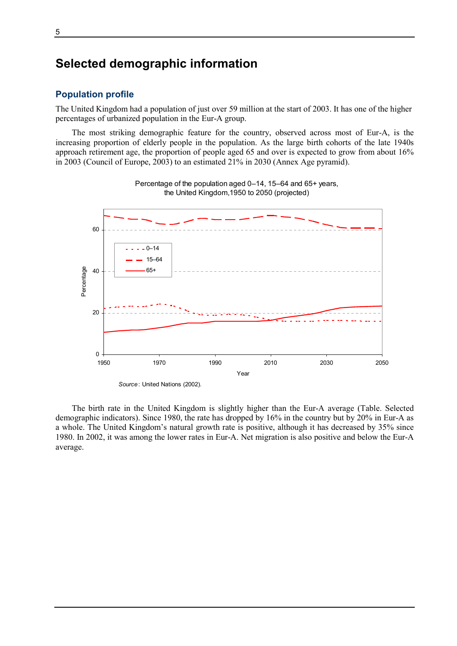## Selected demographic information

## Population profile

The United Kingdom had a population of just over 59 million at the start of 2003. It has one of the higher percentages of urbanized population in the Eur-A group.

The most striking demographic feature for the country, observed across most of Eur-A, is the increasing proportion of elderly people in the population. As the large birth cohorts of the late 1940s approach retirement age, the proportion of people aged 65 and over is expected to grow from about 16% in 2003 (Council of Europe, 2003) to an estimated 21% in 2030 (Annex Age pyramid).



Percentage of the population aged 0–14, 15–64 and 65+ years, the United Kingdom,1950 to 2050 (projected)

The birth rate in the United Kingdom is slightly higher than the Eur-A average (Table. Selected demographic indicators). Since 1980, the rate has dropped by 16% in the country but by 20% in Eur-A as a whole. The United Kingdom's natural growth rate is positive, although it has decreased by 35% since 1980. In 2002, it was among the lower rates in Eur-A. Net migration is also positive and below the Eur-A average.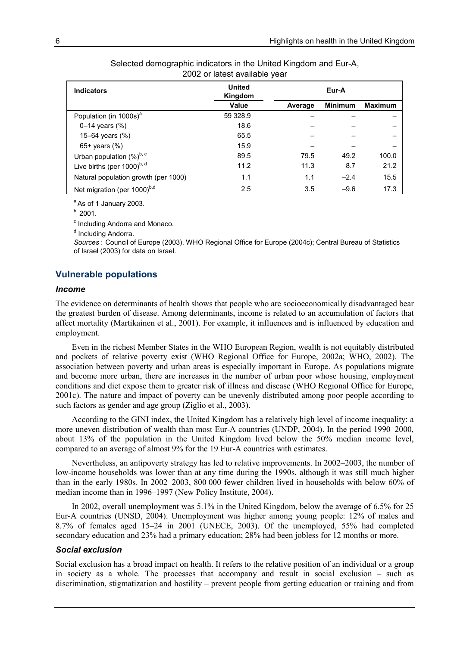| <b>Indicators</b>                    | <b>United</b><br>Kingdom |         | Eur-A          |                |
|--------------------------------------|--------------------------|---------|----------------|----------------|
|                                      | Value                    | Average | <b>Minimum</b> | <b>Maximum</b> |
| Population (in 1000s) <sup>a</sup>   | 59 328.9                 |         |                |                |
| 0–14 years $(\%)$                    | 18.6                     |         |                |                |
| 15–64 years $(\%)$                   | 65.5                     |         |                |                |
| 65+ years $(\%)$                     | 15.9                     |         |                |                |
| Urban population (%)b, c             | 89.5                     | 79.5    | 49.2           | 100.0          |
| Live births (per 1000)b, d           | 11.2                     | 11.3    | 8.7            | 21.2           |
| Natural population growth (per 1000) | 1.1                      | 1.1     | $-2.4$         | 15.5           |
| Net migration (per 1000)b,d          | 2.5                      | 3.5     | $-9.6$         | 17.3           |

Selected demographic indicators in the United Kingdom and Eur-A, 2002 or latest available year

 $a$ As of 1 January 2003.

 $b$  2001.

<sup>c</sup> Including Andorra and Monaco.

<sup>d</sup> Including Andorra.

Sources : Council of Europe (2003), WHO Regional Office for Europe (2004c); Central Bureau of Statistics of Israel (2003) for data on Israel.

#### Vulnerable populations

#### Income

The evidence on determinants of health shows that people who are socioeconomically disadvantaged bear the greatest burden of disease. Among determinants, income is related to an accumulation of factors that affect mortality (Martikainen et al., 2001). For example, it influences and is influenced by education and employment.

Even in the richest Member States in the WHO European Region, wealth is not equitably distributed and pockets of relative poverty exist (WHO Regional Office for Europe, 2002a; WHO, 2002). The association between poverty and urban areas is especially important in Europe. As populations migrate and become more urban, there are increases in the number of urban poor whose housing, employment conditions and diet expose them to greater risk of illness and disease (WHO Regional Office for Europe, 2001c). The nature and impact of poverty can be unevenly distributed among poor people according to such factors as gender and age group (Ziglio et al., 2003).

According to the GINI index, the United Kingdom has a relatively high level of income inequality: a more uneven distribution of wealth than most Eur-A countries (UNDP, 2004). In the period 1990–2000, about 13% of the population in the United Kingdom lived below the 50% median income level, compared to an average of almost 9% for the 19 Eur-A countries with estimates.

Nevertheless, an antipoverty strategy has led to relative improvements. In 2002–2003, the number of low-income households was lower than at any time during the 1990s, although it was still much higher than in the early 1980s. In 2002–2003, 800 000 fewer children lived in households with below 60% of median income than in 1996–1997 (New Policy Institute, 2004).

In 2002, overall unemployment was 5.1% in the United Kingdom, below the average of 6.5% for 25 Eur-A countries (UNSD, 2004). Unemployment was higher among young people: 12% of males and 8.7% of females aged 15–24 in 2001 (UNECE, 2003). Of the unemployed, 55% had completed secondary education and 23% had a primary education; 28% had been jobless for 12 months or more.

#### Social exclusion

Social exclusion has a broad impact on health. It refers to the relative position of an individual or a group in society as a whole. The processes that accompany and result in social exclusion – such as discrimination, stigmatization and hostility – prevent people from getting education or training and from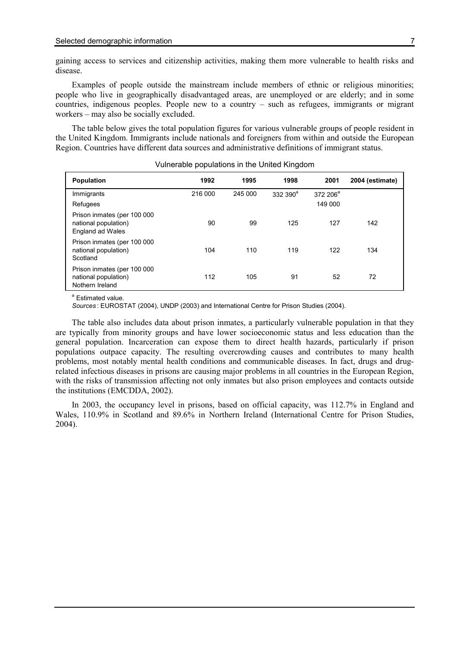gaining access to services and citizenship activities, making them more vulnerable to health risks and disease.

Examples of people outside the mainstream include members of ethnic or religious minorities; people who live in geographically disadvantaged areas, are unemployed or are elderly; and in some countries, indigenous peoples. People new to a country – such as refugees, immigrants or migrant workers – may also be socially excluded.

The table below gives the total population figures for various vulnerable groups of people resident in the United Kingdom. Immigrants include nationals and foreigners from within and outside the European Region. Countries have different data sources and administrative definitions of immigrant status.

| <b>Population</b>                                                       | 1992    | 1995    | 1998               | 2001        | 2004 (estimate) |
|-------------------------------------------------------------------------|---------|---------|--------------------|-------------|-----------------|
| Immigrants                                                              | 216 000 | 245 000 | 332 390 $^{\circ}$ | 372 206 $a$ |                 |
| Refugees                                                                |         |         |                    | 149 000     |                 |
| Prison inmates (per 100 000<br>national population)<br>England ad Wales | 90      | 99      | 125                | 127         | 142             |
| Prison inmates (per 100 000<br>national population)<br>Scotland         | 104     | 110     | 119                | 122         | 134             |
| Prison inmates (per 100 000<br>national population)<br>Nothern Ireland  | 112     | 105     | 91                 | 52          | 72              |

Vulnerable populations in the United Kingdom

<sup>a</sup> Estimated value.

Sources : EUROSTAT (2004), UNDP (2003) and International Centre for Prison Studies (2004).

The table also includes data about prison inmates, a particularly vulnerable population in that they are typically from minority groups and have lower socioeconomic status and less education than the general population. Incarceration can expose them to direct health hazards, particularly if prison populations outpace capacity. The resulting overcrowding causes and contributes to many health problems, most notably mental health conditions and communicable diseases. In fact, drugs and drugrelated infectious diseases in prisons are causing major problems in all countries in the European Region, with the risks of transmission affecting not only inmates but also prison employees and contacts outside the institutions (EMCDDA, 2002).

In 2003, the occupancy level in prisons, based on official capacity, was 112.7% in England and Wales, 110.9% in Scotland and 89.6% in Northern Ireland (International Centre for Prison Studies, 2004).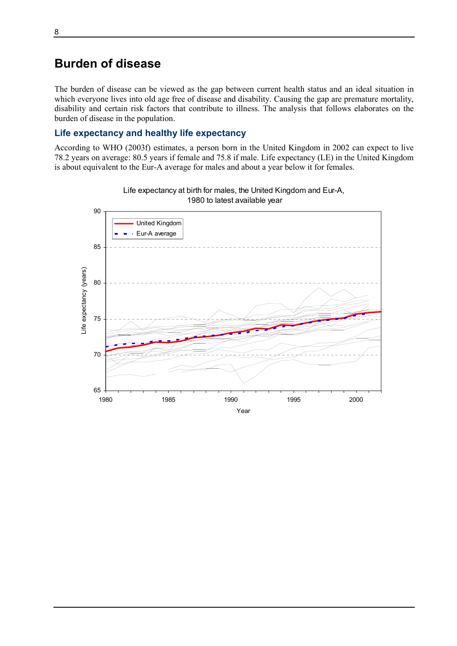## Burden of disease

The burden of disease can be viewed as the gap between current health status and an ideal situation in which everyone lives into old age free of disease and disability. Causing the gap are premature mortality, disability and certain risk factors that contribute to illness. The analysis that follows elaborates on the burden of disease in the population.

## Life expectancy and healthy life expectancy

According to WHO (2003f) estimates, a person born in the United Kingdom in 2002 can expect to live 78.2 years on average: 80.5 years if female and 75.8 if male. Life expectancy (LE) in the United Kingdom is about equivalent to the Eur-A average for males and about a year below it for females.



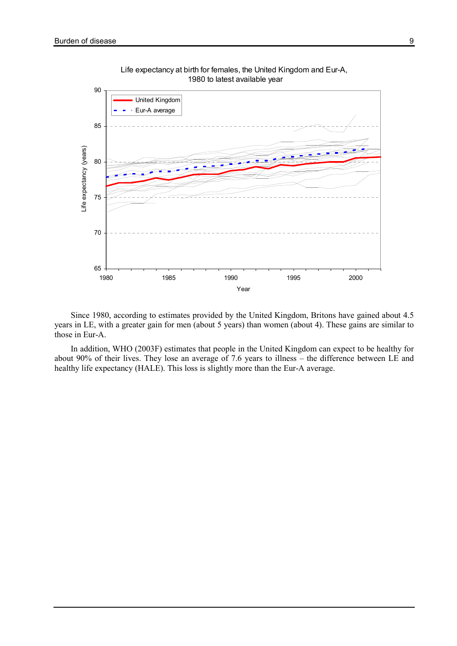



Since 1980, according to estimates provided by the United Kingdom, Britons have gained about 4.5 years in LE, with a greater gain for men (about 5 years) than women (about 4). These gains are similar to those in Eur-A.

In addition, WHO (2003F) estimates that people in the United Kingdom can expect to be healthy for about 90% of their lives. They lose an average of 7.6 years to illness – the difference between LE and healthy life expectancy (HALE). This loss is slightly more than the Eur-A average.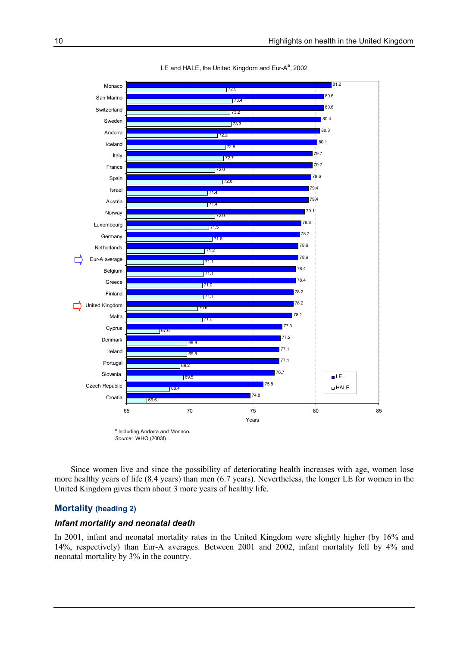

LE and HALE, the United Kingdom and Eur- $A^a$ , 2002

Source: WHO (2003f).

Since women live and since the possibility of deteriorating health increases with age, women lose more healthy years of life (8.4 years) than men (6.7 years). Nevertheless, the longer LE for women in the United Kingdom gives them about 3 more years of healthy life.

## Mortality (heading 2)

#### Infant mortality and neonatal death

In 2001, infant and neonatal mortality rates in the United Kingdom were slightly higher (by 16% and 14%, respectively) than Eur-A averages. Between 2001 and 2002, infant mortality fell by 4% and neonatal mortality by 3% in the country.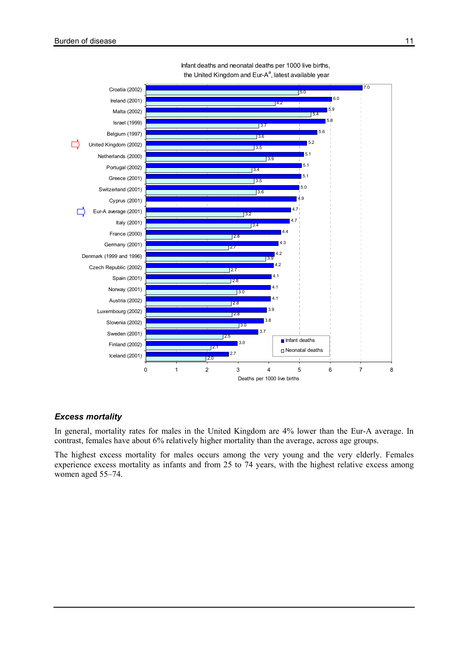



## Excess mortality

In general, mortality rates for males in the United Kingdom are 4% lower than the Eur-A average. In contrast, females have about 6% relatively higher mortality than the average, across age groups.

The highest excess mortality for males occurs among the very young and the very elderly. Females experience excess mortality as infants and from 25 to 74 years, with the highest relative excess among women aged 55–74.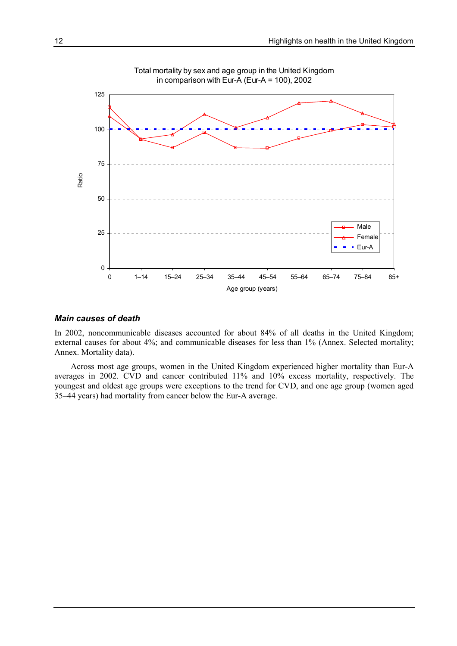

#### Main causes of death

In 2002, noncommunicable diseases accounted for about 84% of all deaths in the United Kingdom; external causes for about 4%; and communicable diseases for less than 1% (Annex. Selected mortality; Annex. Mortality data).

Across most age groups, women in the United Kingdom experienced higher mortality than Eur-A averages in 2002. CVD and cancer contributed 11% and 10% excess mortality, respectively. The youngest and oldest age groups were exceptions to the trend for CVD, and one age group (women aged 35–44 years) had mortality from cancer below the Eur-A average.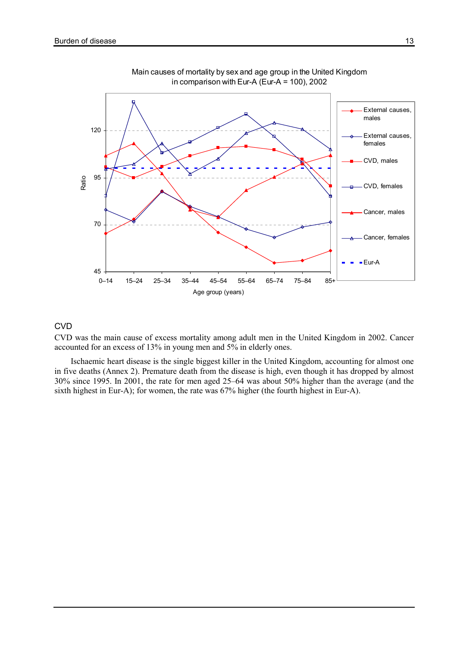

Main causes of mortality by sex and age group in the United Kingdom in comparison with Eur-A (Eur-A = 100), 2002

### **CVD**

CVD was the main cause of excess mortality among adult men in the United Kingdom in 2002. Cancer accounted for an excess of 13% in young men and 5% in elderly ones.

Ischaemic heart disease is the single biggest killer in the United Kingdom, accounting for almost one in five deaths (Annex 2). Premature death from the disease is high, even though it has dropped by almost 30% since 1995. In 2001, the rate for men aged 25–64 was about 50% higher than the average (and the sixth highest in Eur-A); for women, the rate was 67% higher (the fourth highest in Eur-A).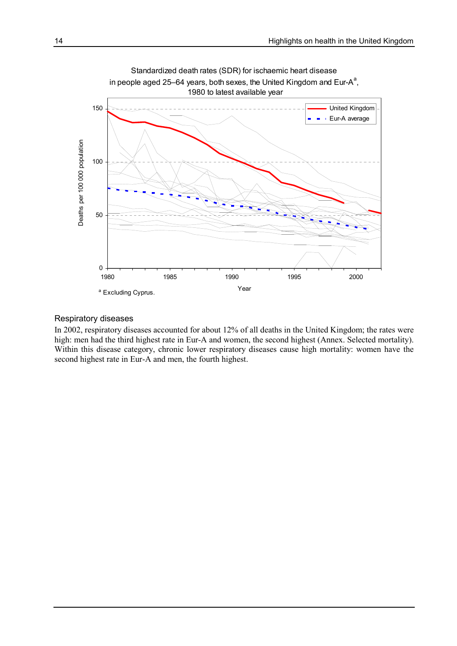

### Respiratory diseases

In 2002, respiratory diseases accounted for about 12% of all deaths in the United Kingdom; the rates were high: men had the third highest rate in Eur-A and women, the second highest (Annex. Selected mortality). Within this disease category, chronic lower respiratory diseases cause high mortality: women have the second highest rate in Eur-A and men, the fourth highest.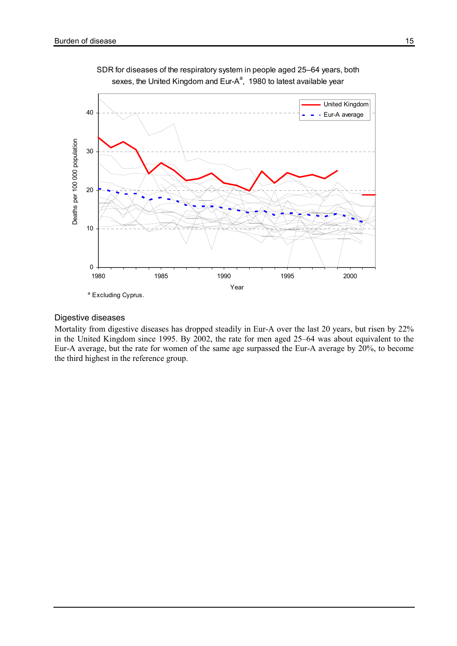

SDR for diseases of the respiratory system in people aged 25–64 years, both sexes, the United Kingdom and Eur-A<sup>a</sup>, 1980 to latest available year

#### Digestive diseases

Mortality from digestive diseases has dropped steadily in Eur-A over the last 20 years, but risen by 22% in the United Kingdom since 1995. By 2002, the rate for men aged 25–64 was about equivalent to the Eur-A average, but the rate for women of the same age surpassed the Eur-A average by 20%, to become the third highest in the reference group.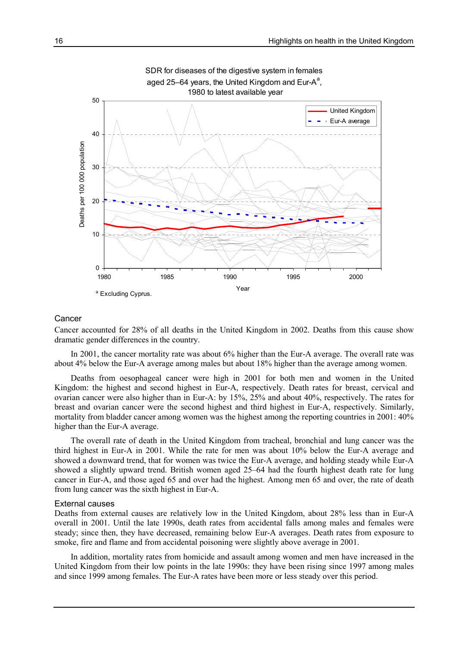

#### Cancer

Cancer accounted for 28% of all deaths in the United Kingdom in 2002. Deaths from this cause show dramatic gender differences in the country.

In 2001, the cancer mortality rate was about 6% higher than the Eur-A average. The overall rate was about 4% below the Eur-A average among males but about 18% higher than the average among women.

Deaths from oesophageal cancer were high in 2001 for both men and women in the United Kingdom: the highest and second highest in Eur-A, respectively. Death rates for breast, cervical and ovarian cancer were also higher than in Eur-A: by 15%, 25% and about 40%, respectively. The rates for breast and ovarian cancer were the second highest and third highest in Eur-A, respectively. Similarly, mortality from bladder cancer among women was the highest among the reporting countries in 2001: 40% higher than the Eur-A average.

The overall rate of death in the United Kingdom from tracheal, bronchial and lung cancer was the third highest in Eur-A in 2001. While the rate for men was about 10% below the Eur-A average and showed a downward trend, that for women was twice the Eur-A average, and holding steady while Eur-A showed a slightly upward trend. British women aged 25–64 had the fourth highest death rate for lung cancer in Eur-A, and those aged 65 and over had the highest. Among men 65 and over, the rate of death from lung cancer was the sixth highest in Eur-A.

#### External causes

Deaths from external causes are relatively low in the United Kingdom, about 28% less than in Eur-A overall in 2001. Until the late 1990s, death rates from accidental falls among males and females were steady; since then, they have decreased, remaining below Eur-A averages. Death rates from exposure to smoke, fire and flame and from accidental poisoning were slightly above average in 2001.

In addition, mortality rates from homicide and assault among women and men have increased in the United Kingdom from their low points in the late 1990s: they have been rising since 1997 among males and since 1999 among females. The Eur-A rates have been more or less steady over this period.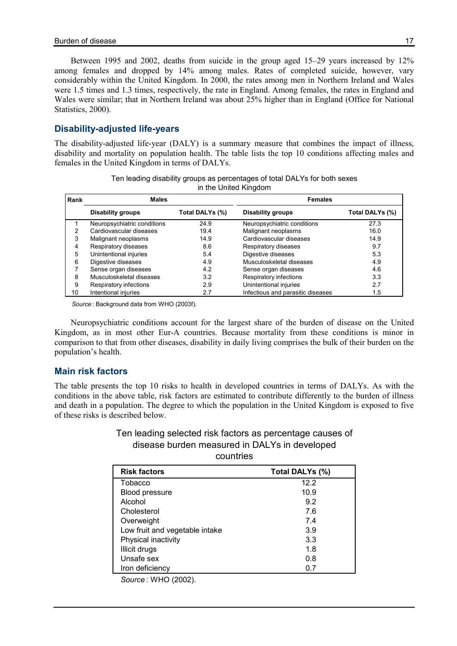Between 1995 and 2002, deaths from suicide in the group aged 15–29 years increased by 12% among females and dropped by 14% among males. Rates of completed suicide, however, vary considerably within the United Kingdom. In 2000, the rates among men in Northern Ireland and Wales were 1.5 times and 1.3 times, respectively, the rate in England. Among females, the rates in England and Wales were similar; that in Northern Ireland was about 25% higher than in England (Office for National Statistics, 2000).

## Disability-adjusted life-years

The disability-adjusted life-year (DALY) is a summary measure that combines the impact of illness, disability and mortality on population health. The table lists the top 10 conditions affecting males and females in the United Kingdom in terms of DALYs.

|      | $\overline{a}$ are ormea rangeom |                 |                                   |                 |  |  |  |  |  |
|------|----------------------------------|-----------------|-----------------------------------|-----------------|--|--|--|--|--|
| Rank | <b>Males</b>                     |                 | <b>Females</b>                    |                 |  |  |  |  |  |
|      | <b>Disability groups</b>         | Total DALYs (%) | <b>Disability groups</b>          | Total DALYs (%) |  |  |  |  |  |
|      | Neuropsychiatric conditions      | 24.9            | Neuropsychiatric conditions       | 27.3            |  |  |  |  |  |
| 2    | Cardiovascular diseases          | 19.4            | Malignant neoplasms               | 16.0            |  |  |  |  |  |
| 3    | Malignant neoplasms              | 14.9            | Cardiovascular diseases           | 14.9            |  |  |  |  |  |
| 4    | Respiratory diseases             | 8.6             | Respiratory diseases              | 9.7             |  |  |  |  |  |
| 5    | Unintentional injuries           | 5.4             | Digestive diseases                | 5.3             |  |  |  |  |  |
| 6    | Digestive diseases               | 4.9             | Musculoskeletal diseases          | 4.9             |  |  |  |  |  |
|      | Sense organ diseases             | 4.2             | Sense organ diseases              | 4.6             |  |  |  |  |  |
| 8    | Musculoskeletal diseases         | 3.2             | Respiratory infections            | 3.3             |  |  |  |  |  |
| 9    | Respiratory infections           | 2.9             | Unintentional injuries            | 2.7             |  |  |  |  |  |
| 10   | Intentional injuries             | 2.7             | Infectious and parasitic diseases | 1.5             |  |  |  |  |  |

|  |  | Ten leading disability groups as percentages of total DALYs for both sexes |  |  |
|--|--|----------------------------------------------------------------------------|--|--|
|  |  | in the United Kingdom                                                      |  |  |

Source : Background data from WHO (2003f).

Neuropsychiatric conditions account for the largest share of the burden of disease on the United Kingdom, as in most other Eur-A countries. Because mortality from these conditions is minor in comparison to that from other diseases, disability in daily living comprises the bulk of their burden on the population's health.

## Main risk factors

The table presents the top 10 risks to health in developed countries in terms of DALYs. As with the conditions in the above table, risk factors are estimated to contribute differently to the burden of illness and death in a population. The degree to which the population in the United Kingdom is exposed to five of these risks is described below.

## Ten leading selected risk factors as percentage causes of disease burden measured in DALYs in developed countries

| <b>Risk factors</b>            | Total DALYs (%) |
|--------------------------------|-----------------|
| Tobacco                        | 12.2            |
| Blood pressure                 | 10.9            |
| Alcohol                        | 9.2             |
| Cholesterol                    | 7.6             |
| Overweight                     | 7.4             |
| Low fruit and vegetable intake | 3.9             |
| Physical inactivity            | 3.3             |
| Illicit drugs                  | 1.8             |
| Unsafe sex                     | 0.8             |
| Iron deficiency                | 0.7             |

Source : WHO (2002).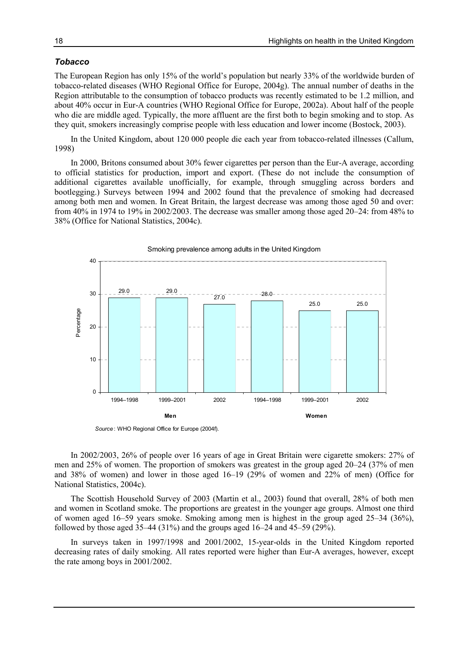#### Tobacco

The European Region has only 15% of the world's population but nearly 33% of the worldwide burden of tobacco-related diseases (WHO Regional Office for Europe, 2004g). The annual number of deaths in the Region attributable to the consumption of tobacco products was recently estimated to be 1.2 million, and about 40% occur in Eur-A countries (WHO Regional Office for Europe, 2002a). About half of the people who die are middle aged. Typically, the more affluent are the first both to begin smoking and to stop. As they quit, smokers increasingly comprise people with less education and lower income (Bostock, 2003).

In the United Kingdom, about 120 000 people die each year from tobacco-related illnesses (Callum, 1998)

In 2000, Britons consumed about 30% fewer cigarettes per person than the Eur-A average, according to official statistics for production, import and export. (These do not include the consumption of additional cigarettes available unofficially, for example, through smuggling across borders and bootlegging.) Surveys between 1994 and 2002 found that the prevalence of smoking had decreased among both men and women. In Great Britain, the largest decrease was among those aged 50 and over: from 40% in 1974 to 19% in 2002/2003. The decrease was smaller among those aged 20–24: from 48% to 38% (Office for National Statistics, 2004c).



Source: WHO Regional Office for Europe (2004f).

In 2002/2003, 26% of people over 16 years of age in Great Britain were cigarette smokers: 27% of men and 25% of women. The proportion of smokers was greatest in the group aged 20–24 (37% of men and 38% of women) and lower in those aged 16–19 (29% of women and 22% of men) (Office for National Statistics, 2004c).

The Scottish Household Survey of 2003 (Martin et al., 2003) found that overall, 28% of both men and women in Scotland smoke. The proportions are greatest in the younger age groups. Almost one third of women aged 16–59 years smoke. Smoking among men is highest in the group aged 25–34 (36%), followed by those aged  $35-44$  ( $31\%$ ) and the groups aged  $16-24$  and  $45-59$  ( $29\%$ ).

In surveys taken in 1997/1998 and 2001/2002, 15-year-olds in the United Kingdom reported decreasing rates of daily smoking. All rates reported were higher than Eur-A averages, however, except the rate among boys in 2001/2002.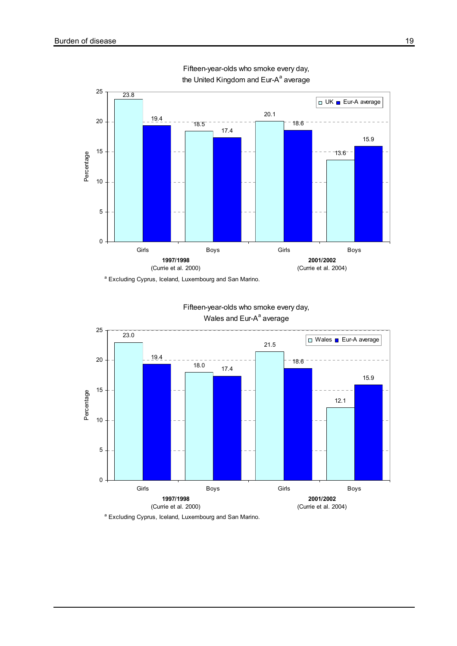

Fifteen-year-olds who smoke every day, the United Kingdom and Eur-A<sup>a</sup> average



Fifteen-year-olds who smoke every day, Wales and Eur-A<sup>a</sup> average

<sup>a</sup> Excluding Cyprus, Iceland, Luxembourg and San Marino.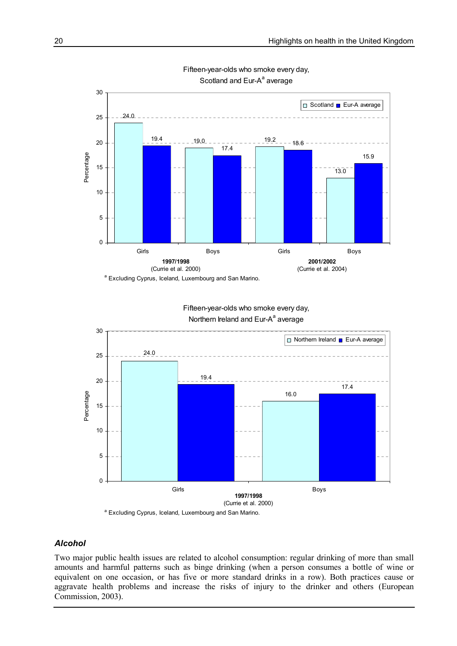

Fifteen-year-olds who smoke every day, Scotland and Eur-A<sup>a</sup> average

Fifteen-year-olds who smoke every day, Northern Ireland and Eur-A<sup>a</sup> average



<sup>a</sup> Excluding Cyprus, Iceland, Luxembourg and San Marino.

## Alcohol

Two major public health issues are related to alcohol consumption: regular drinking of more than small amounts and harmful patterns such as binge drinking (when a person consumes a bottle of wine or equivalent on one occasion, or has five or more standard drinks in a row). Both practices cause or aggravate health problems and increase the risks of injury to the drinker and others (European Commission, 2003).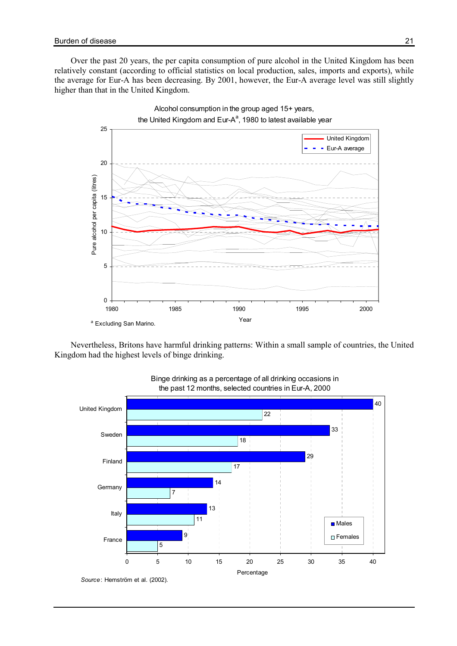Over the past 20 years, the per capita consumption of pure alcohol in the United Kingdom has been relatively constant (according to official statistics on local production, sales, imports and exports), while the average for Eur-A has been decreasing. By 2001, however, the Eur-A average level was still slightly higher than that in the United Kingdom.



Nevertheless, Britons have harmful drinking patterns: Within a small sample of countries, the United Kingdom had the highest levels of binge drinking.



#### Binge drinking as a percentage of all drinking occasions in the past 12 months, selected countries in Eur-A, 2000

Source: Hemström et al. (2002).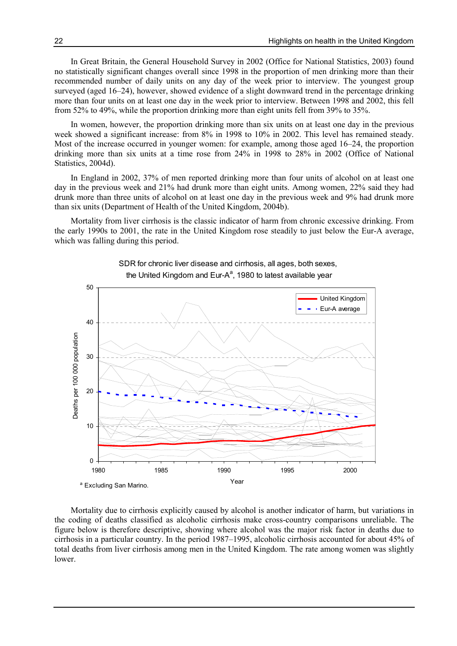In Great Britain, the General Household Survey in 2002 (Office for National Statistics, 2003) found no statistically significant changes overall since 1998 in the proportion of men drinking more than their recommended number of daily units on any day of the week prior to interview. The youngest group surveyed (aged 16–24), however, showed evidence of a slight downward trend in the percentage drinking more than four units on at least one day in the week prior to interview. Between 1998 and 2002, this fell from 52% to 49%, while the proportion drinking more than eight units fell from 39% to 35%.

In women, however, the proportion drinking more than six units on at least one day in the previous week showed a significant increase: from 8% in 1998 to 10% in 2002. This level has remained steady. Most of the increase occurred in younger women: for example, among those aged 16–24, the proportion drinking more than six units at a time rose from 24% in 1998 to 28% in 2002 (Office of National Statistics, 2004d).

In England in 2002, 37% of men reported drinking more than four units of alcohol on at least one day in the previous week and 21% had drunk more than eight units. Among women, 22% said they had drunk more than three units of alcohol on at least one day in the previous week and 9% had drunk more than six units (Department of Health of the United Kingdom, 2004b).

Mortality from liver cirrhosis is the classic indicator of harm from chronic excessive drinking. From the early 1990s to 2001, the rate in the United Kingdom rose steadily to just below the Eur-A average, which was falling during this period.



SDR for chronic liver disease and cirrhosis, all ages, both sexes, the United Kingdom and Eur-A<sup>a</sup>, 1980 to latest available year

Mortality due to cirrhosis explicitly caused by alcohol is another indicator of harm, but variations in the coding of deaths classified as alcoholic cirrhosis make cross-country comparisons unreliable. The figure below is therefore descriptive, showing where alcohol was the major risk factor in deaths due to cirrhosis in a particular country. In the period 1987–1995, alcoholic cirrhosis accounted for about 45% of total deaths from liver cirrhosis among men in the United Kingdom. The rate among women was slightly lower.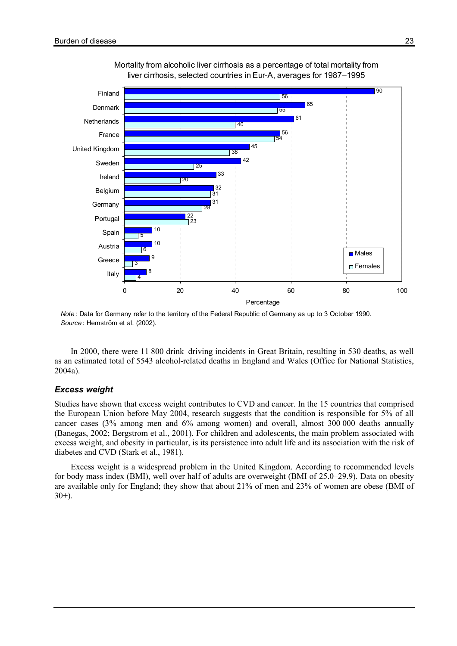

#### Mortality from alcoholic liver cirrhosis as a percentage of total mortality from liver cirrhosis, selected countries in Eur-A, averages for 1987–1995

Note: Data for Germany refer to the territory of the Federal Republic of Germany as up to 3 October 1990. Source: Hemström et al. (2002).

In 2000, there were 11 800 drink–driving incidents in Great Britain, resulting in 530 deaths, as well as an estimated total of 5543 alcohol-related deaths in England and Wales (Office for National Statistics, 2004a).

#### Excess weight

Studies have shown that excess weight contributes to CVD and cancer. In the 15 countries that comprised the European Union before May 2004, research suggests that the condition is responsible for 5% of all cancer cases (3% among men and 6% among women) and overall, almost 300 000 deaths annually (Banegas, 2002; Bergstrom et al., 2001). For children and adolescents, the main problem associated with excess weight, and obesity in particular, is its persistence into adult life and its association with the risk of diabetes and CVD (Stark et al., 1981).

Excess weight is a widespread problem in the United Kingdom. According to recommended levels for body mass index (BMI), well over half of adults are overweight (BMI of 25.0–29.9). Data on obesity are available only for England; they show that about 21% of men and 23% of women are obese (BMI of  $30+$ ).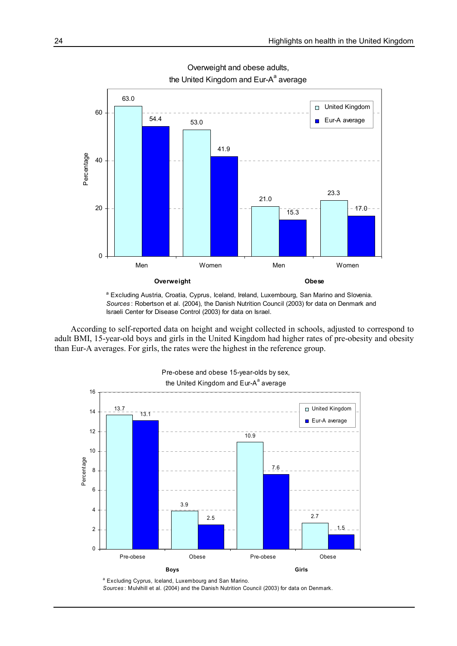

Overweight and obese adults, the United Kingdom and Eur-A<sup>a</sup> average

According to self-reported data on height and weight collected in schools, adjusted to correspond to adult BMI, 15-year-old boys and girls in the United Kingdom had higher rates of pre-obesity and obesity than Eur-A averages. For girls, the rates were the highest in the reference group.



Pre-obese and obese 15-year-olds by sex,

Sources : Mulvihill et al. (2004) and the Danish Nutrition Council (2003) for data on Denmark.

<sup>&</sup>lt;sup>a</sup> Excluding Austria, Croatia, Cyprus, Iceland, Ireland, Luxembourg, San Marino and Slovenia. Sources : Robertson et al. (2004), the Danish Nutrition Council (2003) for data on Denmark and Israeli Center for Disease Control (2003) for data on Israel.

<sup>&</sup>lt;sup>a</sup> Excluding Cyprus, Iceland, Luxembourg and San Marino.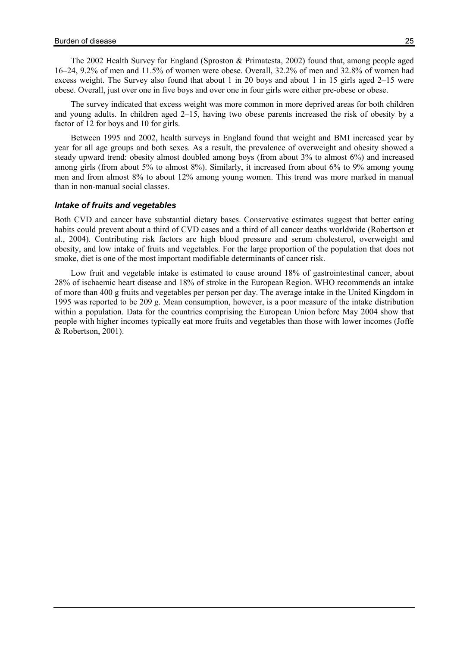The 2002 Health Survey for England (Sproston & Primatesta, 2002) found that, among people aged 16–24, 9.2% of men and 11.5% of women were obese. Overall, 32.2% of men and 32.8% of women had excess weight. The Survey also found that about 1 in 20 boys and about 1 in 15 girls aged 2–15 were obese. Overall, just over one in five boys and over one in four girls were either pre-obese or obese.

The survey indicated that excess weight was more common in more deprived areas for both children and young adults. In children aged 2–15, having two obese parents increased the risk of obesity by a factor of 12 for boys and 10 for girls.

Between 1995 and 2002, health surveys in England found that weight and BMI increased year by year for all age groups and both sexes. As a result, the prevalence of overweight and obesity showed a steady upward trend: obesity almost doubled among boys (from about 3% to almost 6%) and increased among girls (from about 5% to almost 8%). Similarly, it increased from about 6% to 9% among young men and from almost 8% to about 12% among young women. This trend was more marked in manual than in non-manual social classes.

#### Intake of fruits and vegetables

Both CVD and cancer have substantial dietary bases. Conservative estimates suggest that better eating habits could prevent about a third of CVD cases and a third of all cancer deaths worldwide (Robertson et al., 2004). Contributing risk factors are high blood pressure and serum cholesterol, overweight and obesity, and low intake of fruits and vegetables. For the large proportion of the population that does not smoke, diet is one of the most important modifiable determinants of cancer risk.

Low fruit and vegetable intake is estimated to cause around 18% of gastrointestinal cancer, about 28% of ischaemic heart disease and 18% of stroke in the European Region. WHO recommends an intake of more than 400 g fruits and vegetables per person per day. The average intake in the United Kingdom in 1995 was reported to be 209 g. Mean consumption, however, is a poor measure of the intake distribution within a population. Data for the countries comprising the European Union before May 2004 show that people with higher incomes typically eat more fruits and vegetables than those with lower incomes (Joffe & Robertson, 2001).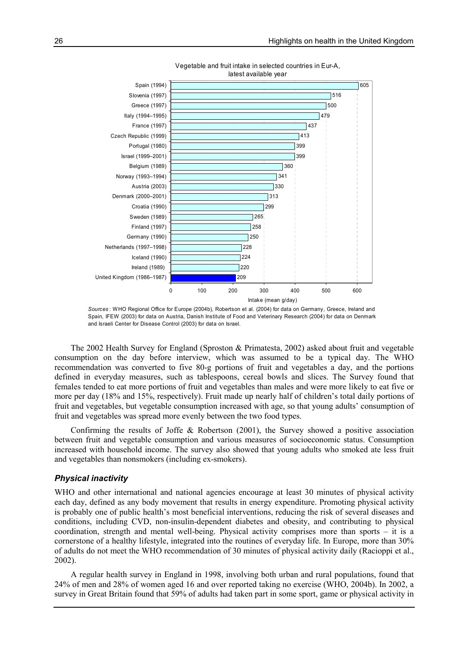



The 2002 Health Survey for England (Sproston & Primatesta, 2002) asked about fruit and vegetable consumption on the day before interview, which was assumed to be a typical day. The WHO recommendation was converted to five 80-g portions of fruit and vegetables a day, and the portions defined in everyday measures, such as tablespoons, cereal bowls and slices. The Survey found that females tended to eat more portions of fruit and vegetables than males and were more likely to eat five or more per day (18% and 15%, respectively). Fruit made up nearly half of children's total daily portions of fruit and vegetables, but vegetable consumption increased with age, so that young adults' consumption of fruit and vegetables was spread more evenly between the two food types.

Confirming the results of Joffe & Robertson (2001), the Survey showed a positive association between fruit and vegetable consumption and various measures of socioeconomic status. Consumption increased with household income. The survey also showed that young adults who smoked ate less fruit and vegetables than nonsmokers (including ex-smokers).

#### Physical inactivity

WHO and other international and national agencies encourage at least 30 minutes of physical activity each day, defined as any body movement that results in energy expenditure. Promoting physical activity is probably one of public health's most beneficial interventions, reducing the risk of several diseases and conditions, including CVD, non-insulin-dependent diabetes and obesity, and contributing to physical coordination, strength and mental well-being. Physical activity comprises more than sports – it is a cornerstone of a healthy lifestyle, integrated into the routines of everyday life. In Europe, more than 30% of adults do not meet the WHO recommendation of 30 minutes of physical activity daily (Racioppi et al., 2002).

A regular health survey in England in 1998, involving both urban and rural populations, found that 24% of men and 28% of women aged 16 and over reported taking no exercise (WHO, 2004b). In 2002, a survey in Great Britain found that 59% of adults had taken part in some sport, game or physical activity in

Sources : WHO Regional Office for Europe (2004b), Robertson et al. (2004) for data on Germany, Greece, Ireland and Spain, IFEW (2003) for data on Austria, Danish Institute of Food and Veterinary Research (2004) for data on Denmark and Israeli Center for Disease Control (2003) for data on Israel.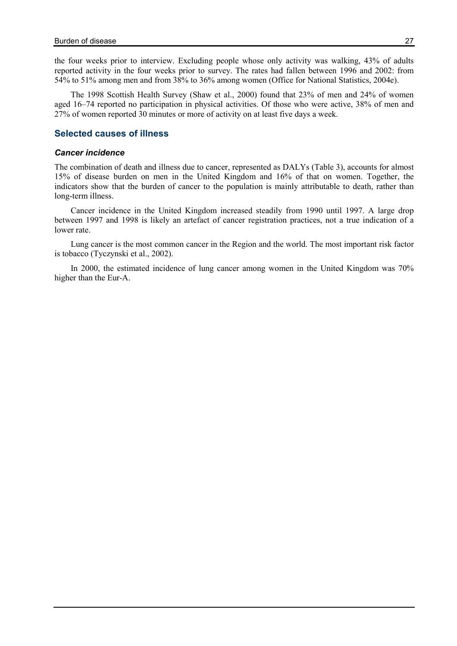the four weeks prior to interview. Excluding people whose only activity was walking, 43% of adults reported activity in the four weeks prior to survey. The rates had fallen between 1996 and 2002: from 54% to 51% among men and from 38% to 36% among women (Office for National Statistics, 2004e).

The 1998 Scottish Health Survey (Shaw et al., 2000) found that 23% of men and 24% of women aged 16–74 reported no participation in physical activities. Of those who were active, 38% of men and 27% of women reported 30 minutes or more of activity on at least five days a week.

### Selected causes of illness

#### Cancer incidence

The combination of death and illness due to cancer, represented as DALYs (Table 3), accounts for almost 15% of disease burden on men in the United Kingdom and 16% of that on women. Together, the indicators show that the burden of cancer to the population is mainly attributable to death, rather than long-term illness.

Cancer incidence in the United Kingdom increased steadily from 1990 until 1997. A large drop between 1997 and 1998 is likely an artefact of cancer registration practices, not a true indication of a lower rate.

Lung cancer is the most common cancer in the Region and the world. The most important risk factor is tobacco (Tyczynski et al., 2002).

In 2000, the estimated incidence of lung cancer among women in the United Kingdom was 70% higher than the Eur-A.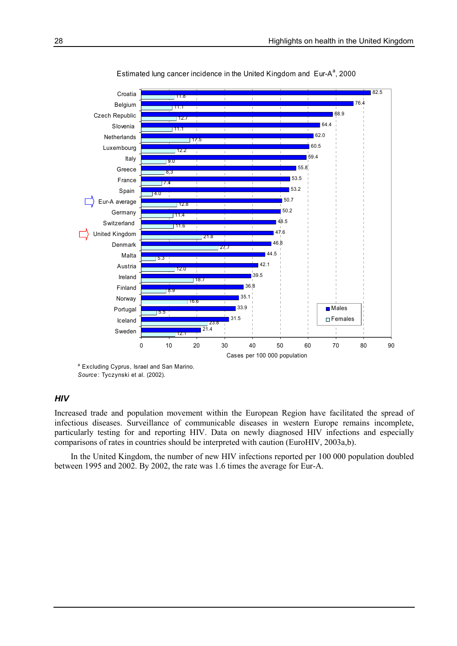

Estimated lung cancer incidence in the United Kingdom and Eur-A<sup>a</sup>, 2000

<sup>a</sup> Excluding Cyprus, Israel and San Marino. Source: Tyczynski et al. (2002).

#### **HIV**

Increased trade and population movement within the European Region have facilitated the spread of infectious diseases. Surveillance of communicable diseases in western Europe remains incomplete, particularly testing for and reporting HIV. Data on newly diagnosed HIV infections and especially comparisons of rates in countries should be interpreted with caution (EuroHIV, 2003a,b).

In the United Kingdom, the number of new HIV infections reported per 100 000 population doubled between 1995 and 2002. By 2002, the rate was 1.6 times the average for Eur-A.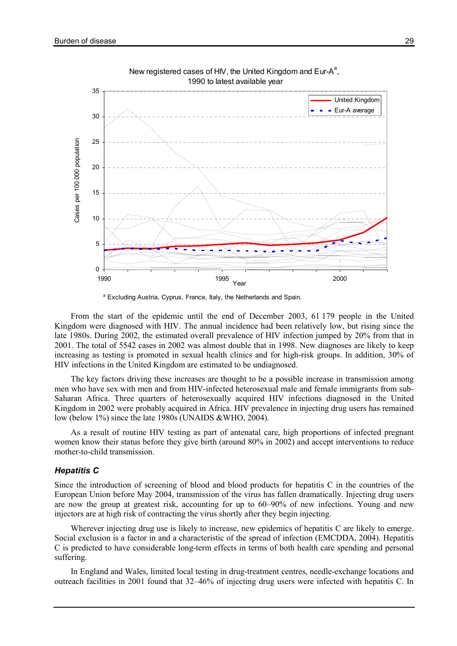



<sup>a</sup> Excluding Austria, Cyprus, France, Italy, the Netherlands and Spain.

From the start of the epidemic until the end of December 2003, 61 179 people in the United Kingdom were diagnosed with HIV. The annual incidence had been relatively low, but rising since the late 1980s. During 2002, the estimated overall prevalence of HIV infection jumped by 20% from that in 2001. The total of 5542 cases in 2002 was almost double that in 1998. New diagnoses are likely to keep increasing as testing is promoted in sexual health clinics and for high-risk groups. In addition, 30% of HIV infections in the United Kingdom are estimated to be undiagnosed.

The key factors driving these increases are thought to be a possible increase in transmission among men who have sex with men and from HIV-infected heterosexual male and female immigrants from sub-Saharan Africa. Three quarters of heterosexually acquired HIV infections diagnosed in the United Kingdom in 2002 were probably acquired in Africa. HIV prevalence in injecting drug users has remained low (below 1%) since the late 1980s (UNAIDS &WHO, 2004).

As a result of routine HIV testing as part of antenatal care, high proportions of infected pregnant women know their status before they give birth (around 80% in 2002) and accept interventions to reduce mother-to-child transmission.

#### Hepatitis C

Since the introduction of screening of blood and blood products for hepatitis C in the countries of the European Union before May 2004, transmission of the virus has fallen dramatically. Injecting drug users are now the group at greatest risk, accounting for up to 60–90% of new infections. Young and new injectors are at high risk of contracting the virus shortly after they begin injecting.

Wherever injecting drug use is likely to increase, new epidemics of hepatitis C are likely to emerge. Social exclusion is a factor in and a characteristic of the spread of infection (EMCDDA, 2004). Hepatitis C is predicted to have considerable long-term effects in terms of both health care spending and personal suffering.

In England and Wales, limited local testing in drug-treatment centres, needle-exchange locations and outreach facilities in 2001 found that 32–46% of injecting drug users were infected with hepatitis C. In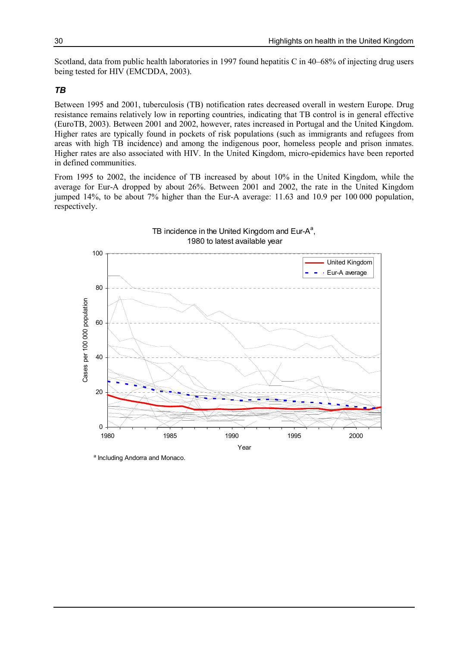Scotland, data from public health laboratories in 1997 found hepatitis C in 40–68% of injecting drug users being tested for HIV (EMCDDA, 2003).

### TB

Between 1995 and 2001, tuberculosis (TB) notification rates decreased overall in western Europe. Drug resistance remains relatively low in reporting countries, indicating that TB control is in general effective (EuroTB, 2003). Between 2001 and 2002, however, rates increased in Portugal and the United Kingdom. Higher rates are typically found in pockets of risk populations (such as immigrants and refugees from areas with high TB incidence) and among the indigenous poor, homeless people and prison inmates. Higher rates are also associated with HIV. In the United Kingdom, micro-epidemics have been reported in defined communities.

From 1995 to 2002, the incidence of TB increased by about 10% in the United Kingdom, while the average for Eur-A dropped by about 26%. Between 2001 and 2002, the rate in the United Kingdom jumped 14%, to be about 7% higher than the Eur-A average: 11.63 and 10.9 per 100 000 population, respectively.



a Including Andorra and Monaco.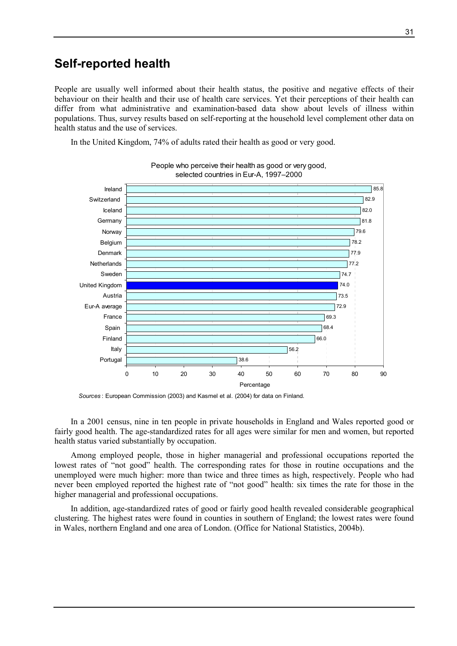## Self-reported health

People are usually well informed about their health status, the positive and negative effects of their behaviour on their health and their use of health care services. Yet their perceptions of their health can differ from what administrative and examination-based data show about levels of illness within populations. Thus, survey results based on self-reporting at the household level complement other data on health status and the use of services.

In the United Kingdom, 74% of adults rated their health as good or very good.



People who perceive their health as good or very good, selected countries in Eur-A, 1997–2000

Sources : European Commission (2003) and Kasmel et al. (2004) for data on Finland.

In a 2001 census, nine in ten people in private households in England and Wales reported good or fairly good health. The age-standardized rates for all ages were similar for men and women, but reported health status varied substantially by occupation.

Among employed people, those in higher managerial and professional occupations reported the lowest rates of "not good" health. The corresponding rates for those in routine occupations and the unemployed were much higher: more than twice and three times as high, respectively. People who had never been employed reported the highest rate of "not good" health: six times the rate for those in the higher managerial and professional occupations.

In addition, age-standardized rates of good or fairly good health revealed considerable geographical clustering. The highest rates were found in counties in southern of England; the lowest rates were found in Wales, northern England and one area of London. (Office for National Statistics, 2004b).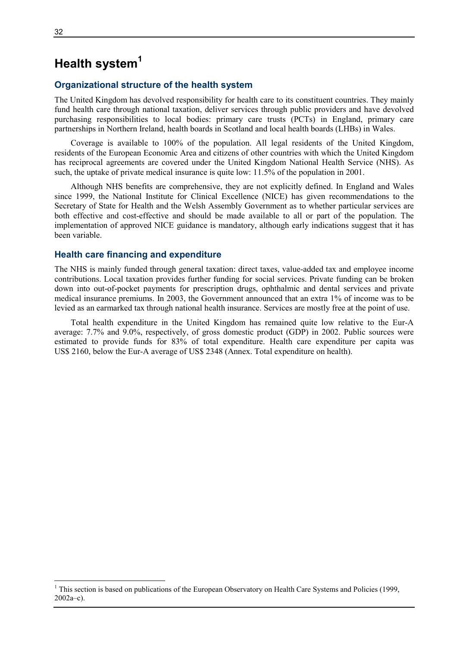## Health system<sup>1</sup>

### Organizational structure of the health system

The United Kingdom has devolved responsibility for health care to its constituent countries. They mainly fund health care through national taxation, deliver services through public providers and have devolved purchasing responsibilities to local bodies: primary care trusts (PCTs) in England, primary care partnerships in Northern Ireland, health boards in Scotland and local health boards (LHBs) in Wales.

Coverage is available to 100% of the population. All legal residents of the United Kingdom, residents of the European Economic Area and citizens of other countries with which the United Kingdom has reciprocal agreements are covered under the United Kingdom National Health Service (NHS). As such, the uptake of private medical insurance is quite low: 11.5% of the population in 2001.

Although NHS benefits are comprehensive, they are not explicitly defined. In England and Wales since 1999, the National Institute for Clinical Excellence (NICE) has given recommendations to the Secretary of State for Health and the Welsh Assembly Government as to whether particular services are both effective and cost-effective and should be made available to all or part of the population. The implementation of approved NICE guidance is mandatory, although early indications suggest that it has been variable.

#### Health care financing and expenditure

The NHS is mainly funded through general taxation: direct taxes, value-added tax and employee income contributions. Local taxation provides further funding for social services. Private funding can be broken down into out-of-pocket payments for prescription drugs, ophthalmic and dental services and private medical insurance premiums. In 2003, the Government announced that an extra 1% of income was to be levied as an earmarked tax through national health insurance. Services are mostly free at the point of use.

Total health expenditure in the United Kingdom has remained quite low relative to the Eur-A average: 7.7% and 9.0%, respectively, of gross domestic product (GDP) in 2002. Public sources were estimated to provide funds for 83% of total expenditure. Health care expenditure per capita was US\$ 2160, below the Eur-A average of US\$ 2348 (Annex. Total expenditure on health).

 $\overline{a}$ 

<sup>&</sup>lt;sup>1</sup> This section is based on publications of the European Observatory on Health Care Systems and Policies (1999, 2002a–c).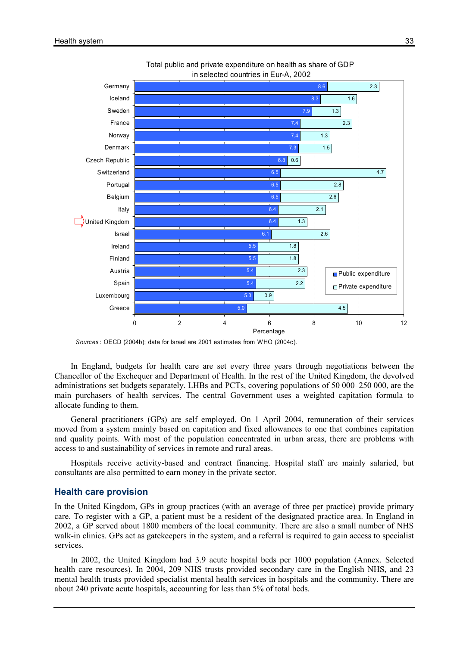

Total public and private expenditure on health as share of GDP in selected countries in Eur-A, 2002

Sources : OECD (2004b); data for Israel are 2001 estimates from WHO (2004c).

In England, budgets for health care are set every three years through negotiations between the Chancellor of the Exchequer and Department of Health. In the rest of the United Kingdom, the devolved administrations set budgets separately. LHBs and PCTs, covering populations of 50 000–250 000, are the main purchasers of health services. The central Government uses a weighted capitation formula to allocate funding to them.

General practitioners (GPs) are self employed. On 1 April 2004, remuneration of their services moved from a system mainly based on capitation and fixed allowances to one that combines capitation and quality points. With most of the population concentrated in urban areas, there are problems with access to and sustainability of services in remote and rural areas.

Hospitals receive activity-based and contract financing. Hospital staff are mainly salaried, but consultants are also permitted to earn money in the private sector.

#### Health care provision

In the United Kingdom, GPs in group practices (with an average of three per practice) provide primary care. To register with a GP, a patient must be a resident of the designated practice area. In England in 2002, a GP served about 1800 members of the local community. There are also a small number of NHS walk-in clinics. GPs act as gatekeepers in the system, and a referral is required to gain access to specialist services.

In 2002, the United Kingdom had 3.9 acute hospital beds per 1000 population (Annex. Selected health care resources). In 2004, 209 NHS trusts provided secondary care in the English NHS, and 23 mental health trusts provided specialist mental health services in hospitals and the community. There are about 240 private acute hospitals, accounting for less than 5% of total beds.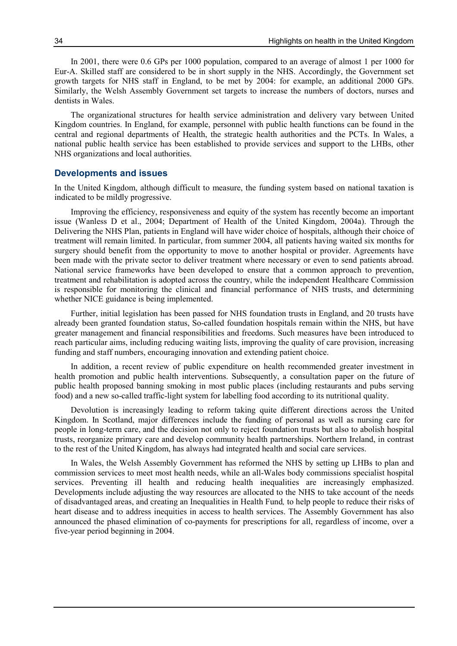In 2001, there were 0.6 GPs per 1000 population, compared to an average of almost 1 per 1000 for Eur-A. Skilled staff are considered to be in short supply in the NHS. Accordingly, the Government set growth targets for NHS staff in England, to be met by 2004: for example, an additional 2000 GPs. Similarly, the Welsh Assembly Government set targets to increase the numbers of doctors, nurses and dentists in Wales.

The organizational structures for health service administration and delivery vary between United Kingdom countries. In England, for example, personnel with public health functions can be found in the central and regional departments of Health, the strategic health authorities and the PCTs. In Wales, a national public health service has been established to provide services and support to the LHBs, other NHS organizations and local authorities.

#### Developments and issues

In the United Kingdom, although difficult to measure, the funding system based on national taxation is indicated to be mildly progressive.

Improving the efficiency, responsiveness and equity of the system has recently become an important issue (Wanless D et al., 2004; Department of Health of the United Kingdom, 2004a). Through the Delivering the NHS Plan, patients in England will have wider choice of hospitals, although their choice of treatment will remain limited. In particular, from summer 2004, all patients having waited six months for surgery should benefit from the opportunity to move to another hospital or provider. Agreements have been made with the private sector to deliver treatment where necessary or even to send patients abroad. National service frameworks have been developed to ensure that a common approach to prevention, treatment and rehabilitation is adopted across the country, while the independent Healthcare Commission is responsible for monitoring the clinical and financial performance of NHS trusts, and determining whether NICE guidance is being implemented.

Further, initial legislation has been passed for NHS foundation trusts in England, and 20 trusts have already been granted foundation status, So-called foundation hospitals remain within the NHS, but have greater management and financial responsibilities and freedoms. Such measures have been introduced to reach particular aims, including reducing waiting lists, improving the quality of care provision, increasing funding and staff numbers, encouraging innovation and extending patient choice.

In addition, a recent review of public expenditure on health recommended greater investment in health promotion and public health interventions. Subsequently, a consultation paper on the future of public health proposed banning smoking in most public places (including restaurants and pubs serving food) and a new so-called traffic-light system for labelling food according to its nutritional quality.

Devolution is increasingly leading to reform taking quite different directions across the United Kingdom. In Scotland, major differences include the funding of personal as well as nursing care for people in long-term care, and the decision not only to reject foundation trusts but also to abolish hospital trusts, reorganize primary care and develop community health partnerships. Northern Ireland, in contrast to the rest of the United Kingdom, has always had integrated health and social care services.

In Wales, the Welsh Assembly Government has reformed the NHS by setting up LHBs to plan and commission services to meet most health needs, while an all-Wales body commissions specialist hospital services. Preventing ill health and reducing health inequalities are increasingly emphasized. Developments include adjusting the way resources are allocated to the NHS to take account of the needs of disadvantaged areas, and creating an Inequalities in Health Fund, to help people to reduce their risks of heart disease and to address inequities in access to health services. The Assembly Government has also announced the phased elimination of co-payments for prescriptions for all, regardless of income, over a five-year period beginning in 2004.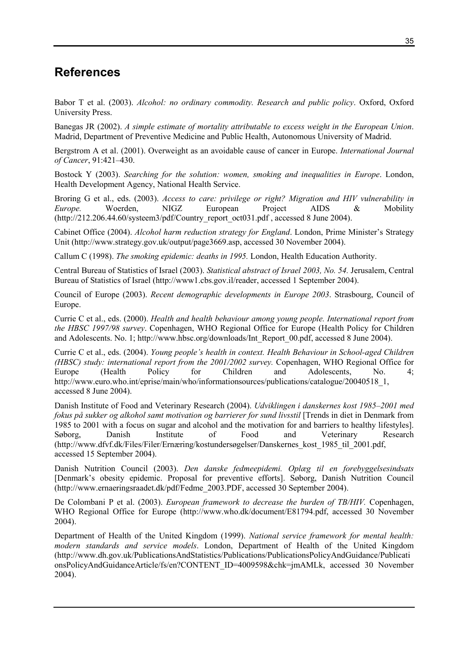## References

Babor T et al. (2003). Alcohol: no ordinary commodity. Research and public policy. Oxford, Oxford University Press.

Banegas JR (2002). A simple estimate of mortality attributable to excess weight in the European Union. Madrid, Department of Preventive Medicine and Public Health, Autonomous University of Madrid.

Bergstrom A et al. (2001). Overweight as an avoidable cause of cancer in Europe. International Journal of Cancer, 91:421–430.

Bostock Y (2003). Searching for the solution: women, smoking and inequalities in Europe. London, Health Development Agency, National Health Service.

Broring G et al., eds. (2003). Access to care: privilege or right? Migration and HIV vulnerability in Europe. Woerden, NIGZ European Project AIDS & Mobility (http://212.206.44.60/systeem3/pdf/Country\_report\_oct031.pdf , accessed 8 June 2004).

Cabinet Office (2004). Alcohol harm reduction strategy for England. London, Prime Minister's Strategy Unit (http://www.strategy.gov.uk/output/page3669.asp, accessed 30 November 2004).

Callum C (1998). The smoking epidemic: deaths in 1995. London, Health Education Authority.

Central Bureau of Statistics of Israel (2003). Statistical abstract of Israel 2003, No. 54. Jerusalem, Central Bureau of Statistics of Israel (http://www1.cbs.gov.il/reader, accessed 1 September 2004).

Council of Europe (2003). Recent demographic developments in Europe 2003. Strasbourg, Council of Europe.

Currie C et al., eds. (2000). Health and health behaviour among young people. International report from the HBSC 1997/98 survey. Copenhagen, WHO Regional Office for Europe (Health Policy for Children and Adolescents. No. 1; http://www.hbsc.org/downloads/Int\_Report\_00.pdf, accessed 8 June 2004).

Currie C et al., eds. (2004). Young people's health in context. Health Behaviour in School-aged Children (HBSC) study: international report from the 2001/2002 survey. Copenhagen, WHO Regional Office for Europe (Health Policy for Children and Adolescents, No. 4; http://www.euro.who.int/eprise/main/who/informationsources/publications/catalogue/20040518\_1, accessed 8 June 2004).

Danish Institute of Food and Veterinary Research (2004). Udviklingen i danskernes kost 1985–2001 med fokus på sukker og alkohol samt motivation og barrierer for sund livsstil [Trends in diet in Denmark from 1985 to 2001 with a focus on sugar and alcohol and the motivation for and barriers to healthy lifestyles]. Søborg, Danish Institute of Food and Veterinary Research (http://www.dfvf.dk/Files/Filer/Ernæring/kostundersøgelser/Danskernes\_kost\_1985\_til\_2001.pdf, accessed 15 September 2004).

Danish Nutrition Council (2003). Den danske fedmeepidemi. Oplæg til en forebyggelsesindsats [Denmark's obesity epidemic. Proposal for preventive efforts]. Søborg, Danish Nutrition Council (http://www.ernaeringsraadet.dk/pdf/Fedme\_2003.PDF, accessed 30 September 2004).

De Colombani P et al. (2003). European framework to decrease the burden of TB/HIV. Copenhagen, WHO Regional Office for Europe (http://www.who.dk/document/E81794.pdf, accessed 30 November 2004).

Department of Health of the United Kingdom (1999). National service framework for mental health: modern standards and service models. London, Department of Health of the United Kingdom (http://www.dh.gov.uk/PublicationsAndStatistics/Publications/PublicationsPolicyAndGuidance/Publicati onsPolicyAndGuidanceArticle/fs/en?CONTENT\_ID=4009598&chk=jmAMLk, accessed 30 November 2004).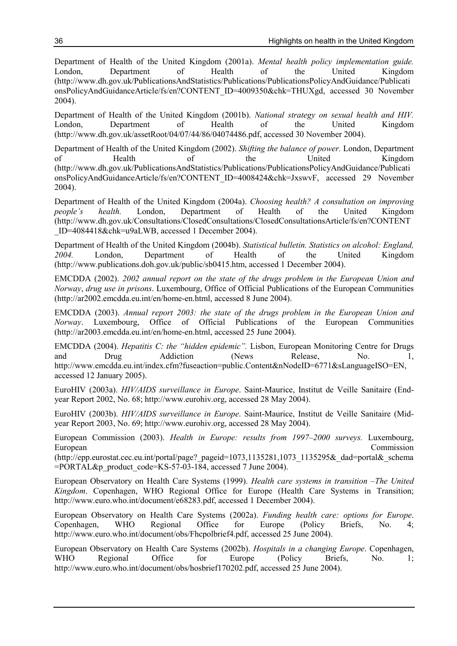Department of Health of the United Kingdom (2001a). Mental health policy implementation guide. London, Department of Health of the United Kingdom (http://www.dh.gov.uk/PublicationsAndStatistics/Publications/PublicationsPolicyAndGuidance/Publicati onsPolicyAndGuidanceArticle/fs/en?CONTENT\_ID=4009350&chk=THUXgd, accessed 30 November 2004).

Department of Health of the United Kingdom (2001b). National strategy on sexual health and HIV. London, Department of Health of the United Kingdom (http://www.dh.gov.uk/assetRoot/04/07/44/86/04074486.pdf, accessed 30 November 2004).

Department of Health of the United Kingdom (2002). Shifting the balance of power. London, Department of Health of the United Kingdom (http://www.dh.gov.uk/PublicationsAndStatistics/Publications/PublicationsPolicyAndGuidance/Publicati onsPolicyAndGuidanceArticle/fs/en?CONTENT\_ID=4008424&chk=JxswvF, accessed 29 November 2004).

Department of Health of the United Kingdom (2004a). Choosing health? A consultation on improving people's health. London, Department of Health of the United Kingdom people's health. London, Department of Health of the United Kingdom (http://www.dh.gov.uk/Consultations/ClosedConsultations/ClosedConsultationsArticle/fs/en?CONTENT \_ID=4084418&chk=u9aLWB, accessed 1 December 2004).

Department of Health of the United Kingdom (2004b). Statistical bulletin. Statistics on alcohol: England, 2004. London, Department of Health of the United Kingdom (http://www.publications.doh.gov.uk/public/sb0415.htm, accessed 1 December 2004).

EMCDDA (2002). 2002 annual report on the state of the drugs problem in the European Union and Norway, drug use in prisons. Luxembourg, Office of Official Publications of the European Communities (http://ar2002.emcdda.eu.int/en/home-en.html, accessed 8 June 2004).

EMCDDA (2003). Annual report 2003: the state of the drugs problem in the European Union and Norway. Luxembourg, Office of Official Publications of the European Communities (http://ar2003.emcdda.eu.int/en/home-en.html, accessed 25 June 2004).

EMCDDA (2004). Hepatitis C: the "hidden epidemic". Lisbon, European Monitoring Centre for Drugs and Drug Addiction (News Release, No. 1, http://www.emcdda.eu.int/index.cfm?fuseaction=public.Content&nNodeID=6771&sLanguageISO=EN, accessed 12 January 2005).

EuroHIV (2003a). HIV/AIDS surveillance in Europe. Saint-Maurice, Institut de Veille Sanitaire (Endyear Report 2002, No. 68; http://www.eurohiv.org, accessed 28 May 2004).

EuroHIV (2003b). HIV/AIDS surveillance in Europe. Saint-Maurice, Institut de Veille Sanitaire (Midyear Report 2003, No. 69; http://www.eurohiv.org, accessed 28 May 2004).

European Commission (2003). Health in Europe: results from 1997–2000 surveys. Luxembourg, European Commission (http://epp.eurostat.cec.eu.int/portal/page?\_pageid=1073,1135281,1073\_1135295&\_dad=portal&\_schema

 $=$ PORTAL&p\_product\_code=KS-57-03-184, accessed 7 June 2004).

European Observatory on Health Care Systems (1999). Health care systems in transition –The United Kingdom. Copenhagen, WHO Regional Office for Europe (Health Care Systems in Transition; http://www.euro.who.int/document/e68283.pdf, accessed 1 December 2004).

European Observatory on Health Care Systems (2002a). Funding health care: options for Europe. Copenhagen, WHO Regional Office for Europe (Policy Briefs, No. 4; http://www.euro.who.int/document/obs/Fhcpolbrief4.pdf, accessed 25 June 2004).

European Observatory on Health Care Systems (2002b). Hospitals in a changing Europe. Copenhagen, WHO Regional Office for Europe (Policy Briefs, No. 1; http://www.euro.who.int/document/obs/hosbrief170202.pdf, accessed 25 June 2004).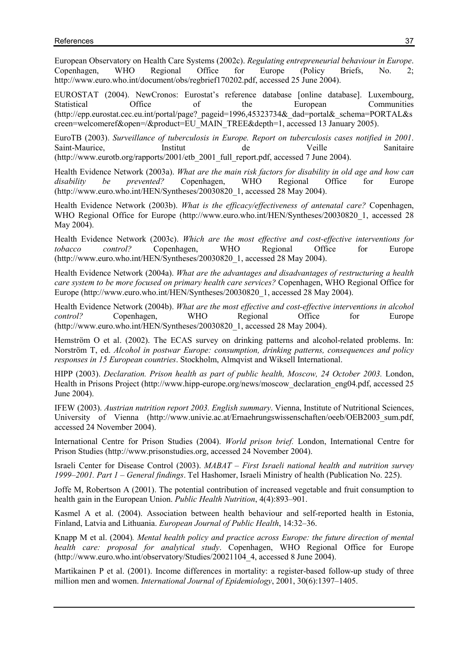European Observatory on Health Care Systems (2002c). Regulating entrepreneurial behaviour in Europe. Copenhagen, WHO Regional Office for Europe (Policy Briefs, No. 2; http://www.euro.who.int/document/obs/regbrief170202.pdf, accessed 25 June 2004).

EUROSTAT (2004). NewCronos: Eurostat's reference database [online database]. Luxembourg, Statistical Office of the European Communities (http://epp.eurostat.cec.eu.int/portal/page?\_pageid=1996,45323734&\_dad=portal&\_schema=PORTAL&s creen=welcomeref&open=/&product=EU\_MAIN\_TREE&depth=1, accessed 13 January 2005).

EuroTB (2003). Surveillance of tuberculosis in Europe. Report on tuberculosis cases notified in 2001. Saint-Maurice, Institut de Veille Sanitaire (http://www.eurotb.org/rapports/2001/etb\_2001\_full\_report.pdf, accessed 7 June 2004).

Health Evidence Network (2003a). What are the main risk factors for disability in old age and how can disability be prevented? Copenhagen, WHO Regional Office for Europe (http://www.euro.who.int/HEN/Syntheses/20030820\_1, accessed 28 May 2004).

Health Evidence Network (2003b). What is the efficacy/effectiveness of antenatal care? Copenhagen, WHO Regional Office for Europe (http://www.euro.who.int/HEN/Syntheses/20030820 1, accessed 28 May 2004).

Health Evidence Network (2003c). Which are the most effective and cost-effective interventions for tobacco control? Copenhagen, WHO Regional Office for Europe (http://www.euro.who.int/HEN/Syntheses/20030820\_1, accessed 28 May 2004).

Health Evidence Network (2004a). What are the advantages and disadvantages of restructuring a health care system to be more focused on primary health care services? Copenhagen, WHO Regional Office for Europe (http://www.euro.who.int/HEN/Syntheses/20030820\_1, accessed 28 May 2004).

Health Evidence Network (2004b). What are the most effective and cost-effective interventions in alcohol control? Copenhagen, WHO Regional Office for Europe (http://www.euro.who.int/HEN/Syntheses/20030820\_1, accessed 28 May 2004).

Hemström O et al. (2002). The ECAS survey on drinking patterns and alcohol-related problems. In: Norström T, ed. Alcohol in postwar Europe: consumption, drinking patterns, consequences and policy responses in 15 European countries. Stockholm, Almqvist and Wiksell International.

HIPP (2003). Declaration. Prison health as part of public health, Moscow, 24 October 2003. London, Health in Prisons Project (http://www.hipp-europe.org/news/moscow\_declaration\_eng04.pdf, accessed 25 June 2004).

IFEW (2003). Austrian nutrition report 2003. English summary. Vienna, Institute of Nutritional Sciences, University of Vienna (http://www.univie.ac.at/Ernaehrungswissenschaften/oeeb/OEB2003\_sum.pdf, accessed 24 November 2004).

International Centre for Prison Studies (2004). World prison brief. London, International Centre for Prison Studies (http://www.prisonstudies.org, accessed 24 November 2004).

Israeli Center for Disease Control (2003). MABAT – First Israeli national health and nutrition survey 1999–2001. Part 1 – General findings. Tel Hashomer, Israeli Ministry of health (Publication No. 225).

Joffe M, Robertson A (2001). The potential contribution of increased vegetable and fruit consumption to health gain in the European Union. Public Health Nutrition, 4(4):893–901.

Kasmel A et al. (2004). Association between health behaviour and self-reported health in Estonia, Finland, Latvia and Lithuania. European Journal of Public Health, 14:32–36.

Knapp M et al. (2004). Mental health policy and practice across Europe: the future direction of mental health care: proposal for analytical study. Copenhagen, WHO Regional Office for Europe (http://www.euro.who.int/observatory/Studies/20021104\_4, accessed 8 June 2004).

Martikainen P et al. (2001). Income differences in mortality: a register-based follow-up study of three million men and women. International Journal of Epidemiology, 2001, 30(6):1397–1405.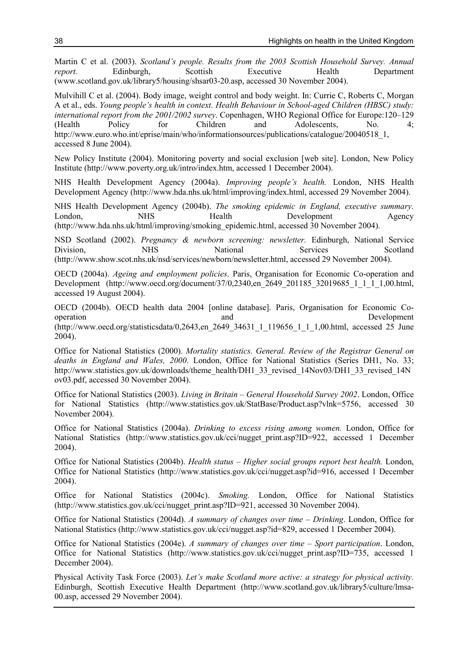Martin C et al. (2003). Scotland's people. Results from the 2003 Scottish Household Survey. Annual report. Edinburgh, Scottish Executive Health Department (www.scotland.gov.uk/library5/housing/shsar03-20.asp, accessed 30 November 2004).

Mulvihill C et al. (2004). Body image, weight control and body weight. In: Currie C, Roberts C, Morgan A et al., eds. Young people's health in context. Health Behaviour in School-aged Children (HBSC) study: international report from the 2001/2002 survey. Copenhagen, WHO Regional Office for Europe:120–129 (Health Policy for Children and Adolescents, No. 4; http://www.euro.who.int/eprise/main/who/informationsources/publications/catalogue/20040518\_1, accessed 8 June 2004).

New Policy Institute (2004). Monitoring poverty and social exclusion [web site]. London, New Policy Institute (http://www.poverty.org.uk/intro/index.htm, accessed 1 December 2004).

NHS Health Development Agency (2004a). Improving people's health. London, NHS Health Development Agency (http://www.hda.nhs.uk/html/improving/index.html, accessed 29 November 2004).

NHS Health Development Agency (2004b). The smoking epidemic in England, executive summary. London, NHS Health Development Agency (http://www.hda.nhs.uk/html/improving/smoking\_epidemic.html, accessed 30 November 2004).

NSD Scotland (2002). Pregnancy & newborn screening: newsletter. Edinburgh, National Service Division, NHS National Services Scotland (http://www.show.scot.nhs.uk/nsd/services/newborn/newsletter.html, accessed 29 November 2004).

OECD (2004a). Ageing and employment policies. Paris, Organisation for Economic Co-operation and Development (http://www.oecd.org/document/37/0,2340,en\_2649\_201185\_32019685\_1\_1\_1\_1,00.html, accessed 19 August 2004).

OECD (2004b). OECD health data 2004 [online database]. Paris, Organisation for Economic Cooperation and Development (http://www.oecd.org/statisticsdata/0,2643,en\_2649\_34631\_1\_119656\_1\_1\_1,00.html, accessed 25 June 2004).

Office for National Statistics (2000). Mortality statistics. General. Review of the Registrar General on deaths in England and Wales, 2000. London, Office for National Statistics (Series DH1, No. 33; http://www.statistics.gov.uk/downloads/theme\_health/DH1\_33\_revised\_14Nov03/DH1\_33\_revised\_14N ov03.pdf, accessed 30 November 2004).

Office for National Statistics (2003). Living in Britain – General Household Survey 2002. London, Office for National Statistics (http://www.statistics.gov.uk/StatBase/Product.asp?vlnk=5756, accessed 30 November 2004).

Office for National Statistics (2004a). Drinking to excess rising among women. London, Office for National Statistics (http://www.statistics.gov.uk/cci/nugget print.asp?ID=922, accessed 1 December 2004).

Office for National Statistics (2004b). Health status – Higher social groups report best health. London, Office for National Statistics (http://www.statistics.gov.uk/cci/nugget.asp?id=916, accessed 1 December 2004).

Office for National Statistics (2004c). Smoking. London, Office for National Statistics (http://www.statistics.gov.uk/cci/nugget\_print.asp?ID=921, accessed 30 November 2004).

Office for National Statistics (2004d). A summary of changes over time – Drinking. London, Office for National Statistics (http://www.statistics.gov.uk/cci/nugget.asp?id=829, accessed 1 December 2004).

Office for National Statistics (2004e). A summary of changes over time – Sport participation. London, Office for National Statistics (http://www.statistics.gov.uk/cci/nugget\_print.asp?ID=735, accessed 1 December 2004).

Physical Activity Task Force (2003). Let's make Scotland more active: a strategy for physical activity. Edinburgh, Scottish Executive Health Department (http://www.scotland.gov.uk/library5/culture/lmsa-00.asp, accessed 29 November 2004).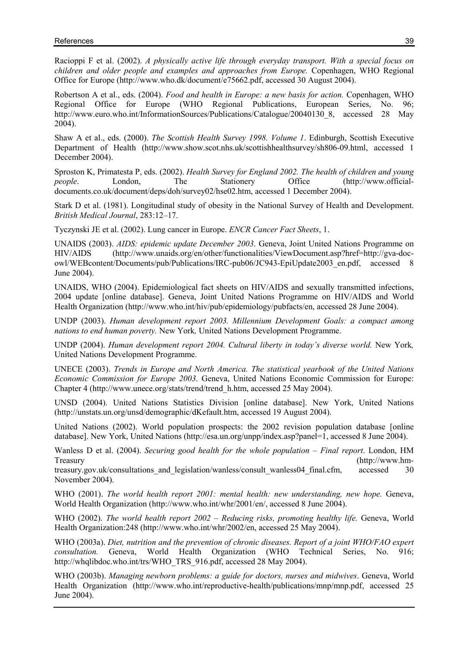Racioppi F et al. (2002). A physically active life through everyday transport. With a special focus on children and older people and examples and approaches from Europe. Copenhagen, WHO Regional Office for Europe (http://www.who.dk/document/e75662.pdf, accessed 30 August 2004).

Robertson A et al., eds. (2004). Food and health in Europe: a new basis for action. Copenhagen, WHO Regional Office for Europe (WHO Regional Publications, European Series, No. 96; http://www.euro.who.int/InformationSources/Publications/Catalogue/20040130\_8, accessed 28 May 2004).

Shaw A et al., eds. (2000). The Scottish Health Survey 1998. Volume 1. Edinburgh, Scottish Executive Department of Health (http://www.show.scot.nhs.uk/scottishhealthsurvey/sh806-09.html, accessed 1 December 2004).

Sproston K, Primatesta P, eds. (2002). Health Survey for England 2002. The health of children and young people. London, The Stationery Office (http://www.officialdocuments.co.uk/document/deps/doh/survey02/hse02.htm, accessed 1 December 2004).

Stark D et al. (1981). Longitudinal study of obesity in the National Survey of Health and Development. British Medical Journal, 283:12–17.

Tyczynski JE et al. (2002). Lung cancer in Europe. ENCR Cancer Fact Sheets, 1.

UNAIDS (2003). AIDS: epidemic update December 2003. Geneva, Joint United Nations Programme on HIV/AIDS (http://www.unaids.org/en/other/functionalities/ViewDocument.asp?href=http://gva-docowl/WEBcontent/Documents/pub/Publications/IRC-pub06/JC943-EpiUpdate2003\_en.pdf, accessed 8 June 2004).

UNAIDS, WHO (2004). Epidemiological fact sheets on HIV/AIDS and sexually transmitted infections, 2004 update [online database]. Geneva, Joint United Nations Programme on HIV/AIDS and World Health Organization (http://www.who.int/hiv/pub/epidemiology/pubfacts/en, accessed 28 June 2004).

UNDP (2003). Human development report 2003. Millennium Development Goals: a compact among nations to end human poverty. New York, United Nations Development Programme.

UNDP (2004). Human development report 2004. Cultural liberty in today's diverse world. New York, United Nations Development Programme.

UNECE (2003). Trends in Europe and North America. The statistical yearbook of the United Nations Economic Commission for Europe 2003. Geneva, United Nations Economic Commission for Europe: Chapter 4 (http://www.unece.org/stats/trend/trend\_h.htm, accessed 25 May 2004).

UNSD (2004). United Nations Statistics Division [online database]. New York, United Nations (http://unstats.un.org/unsd/demographic/dKefault.htm, accessed 19 August 2004).

United Nations (2002). World population prospects: the 2002 revision population database [online database]. New York, United Nations (http://esa.un.org/unpp/index.asp?panel=1, accessed 8 June 2004).

Wanless D et al. (2004). Securing good health for the whole population – Final report. London, HM Treasury (http://www.hm-

treasury.gov.uk/consultations and legislation/wanless/consult\_wanless04\_final.cfm, accessed 30 November 2004).

WHO (2001). The world health report 2001: mental health: new understanding, new hope. Geneva, World Health Organization (http://www.who.int/whr/2001/en/, accessed 8 June 2004).

WHO (2002). The world health report 2002 – Reducing risks, promoting healthy life. Geneva, World Health Organization:248 (http://www.who.int/whr/2002/en, accessed 25 May 2004).

WHO (2003a). Diet, nutrition and the prevention of chronic diseases. Report of a joint WHO/FAO expert consultation. Geneva, World Health Organization (WHO Technical Series. No. 916: consultation. Geneva, World Health Organization (WHO Technical Series, No. 916; http://whqlibdoc.who.int/trs/WHO\_TRS\_916.pdf, accessed 28 May 2004).

WHO (2003b). Managing newborn problems: a guide for doctors, nurses and midwives. Geneva, World Health Organization (http://www.who.int/reproductive-health/publications/mnp/mnp.pdf, accessed 25 June 2004).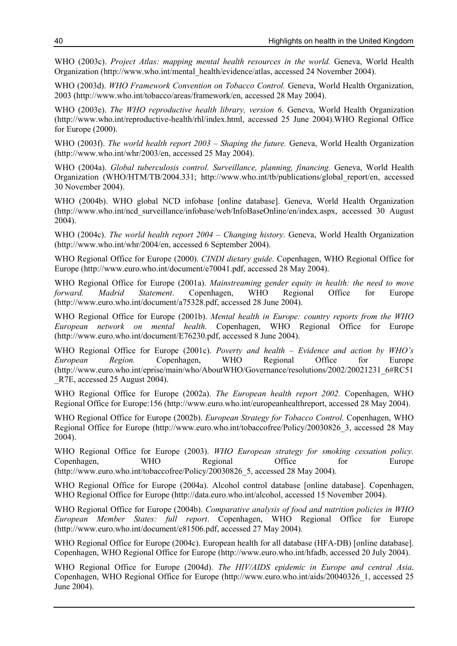WHO (2003c). Project Atlas: mapping mental health resources in the world. Geneva, World Health Organization (http://www.who.int/mental\_health/evidence/atlas, accessed 24 November 2004).

WHO (2003d). WHO Framework Convention on Tobacco Control. Geneva, World Health Organization, 2003 (http://www.who.int/tobacco/areas/framework/en, accessed 28 May 2004).

WHO (2003e). The WHO reproductive health library, version 6. Geneva, World Health Organization (http://www.who.int/reproductive-health/rhl/index.html, accessed 25 June 2004).WHO Regional Office for Europe (2000).

WHO (2003f). The world health report 2003 – Shaping the future. Geneva, World Health Organization (http://www.who.int/whr/2003/en, accessed 25 May 2004).

WHO (2004a). Global tuberculosis control. Surveillance, planning, financing. Geneva, World Health Organization (WHO/HTM/TB/2004.331; http://www.who.int/tb/publications/global\_report/en, accessed 30 November 2004).

WHO (2004b). WHO global NCD infobase [online database]. Geneva, World Health Organization (http://www.who.int/ncd\_surveillance/infobase/web/InfoBaseOnline/en/index.aspx, accessed 30 August 2004).

WHO (2004c). The world health report 2004 – Changing history. Geneva, World Health Organization (http://www.who.int/whr/2004/en, accessed 6 September 2004).

WHO Regional Office for Europe (2000). CINDI dietary guide. Copenhagen, WHO Regional Office for Europe (http://www.euro.who.int/document/e70041.pdf, accessed 28 May 2004).

WHO Regional Office for Europe (2001a). Mainstreaming gender equity in health: the need to move forward. Madrid Statement. Copenhagen, WHO Regional Office for Europe (http://www.euro.who.int/document/a75328.pdf, accessed 28 June 2004).

WHO Regional Office for Europe (2001b). Mental health in Europe: country reports from the WHO European network on mental health. Copenhagen, WHO Regional Office for Europe (http://www.euro.who.int/document/E76230.pdf, accessed 8 June 2004).

WHO Regional Office for Europe (2001c). Poverty and health – Evidence and action by WHO's European Region. Copenhagen, WHO Regional Office for Europe (http://www.euro.who.int/eprise/main/who/AboutWHO/Governance/resolutions/2002/20021231\_6#RC51 R7E, accessed 25 August 2004).

WHO Regional Office for Europe (2002a). The European health report 2002. Copenhagen, WHO Regional Office for Europe:156 (http://www.euro.who.int/europeanhealthreport, accessed 28 May 2004).

WHO Regional Office for Europe (2002b). European Strategy for Tobacco Control. Copenhagen, WHO Regional Office for Europe (http://www.euro.who.int/tobaccofree/Policy/20030826 3, accessed 28 May 2004).

WHO Regional Office for Europe (2003). WHO European strategy for smoking cessation policy. Copenhagen, WHO Regional Office for Europe (http://www.euro.who.int/tobaccofree/Policy/20030826\_5, accessed 28 May 2004).

WHO Regional Office for Europe (2004a). Alcohol control database [online database]. Copenhagen, WHO Regional Office for Europe (http://data.euro.who.int/alcohol, accessed 15 November 2004).

WHO Regional Office for Europe (2004b). Comparative analysis of food and nutrition policies in WHO European Member States: full report. Copenhagen, WHO Regional Office for Europe (http://www.euro.who.int/document/e81506.pdf, accessed 27 May 2004).

WHO Regional Office for Europe (2004c). European health for all database (HFA-DB) [online database]. Copenhagen, WHO Regional Office for Europe (http://www.euro.who.int/hfadb, accessed 20 July 2004).

WHO Regional Office for Europe (2004d). The HIV/AIDS epidemic in Europe and central Asia. Copenhagen, WHO Regional Office for Europe (http://www.euro.who.int/aids/20040326\_1, accessed 25 June 2004).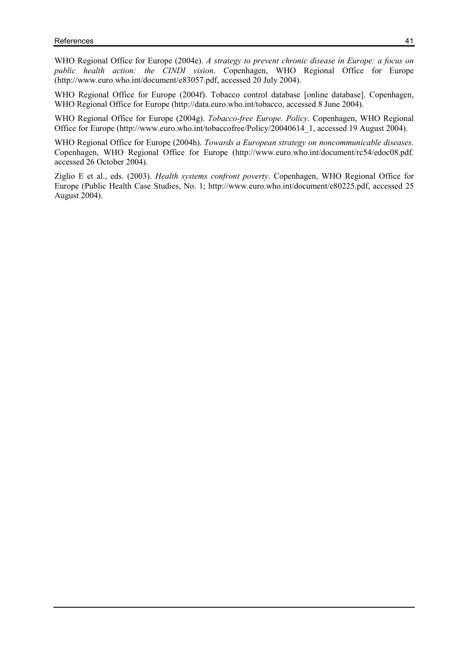WHO Regional Office for Europe (2004e). A strategy to prevent chronic disease in Europe: a focus on public health action: the CINDI vision. Copenhagen, WHO Regional Office for Europe (http://www.euro.who.int/document/e83057.pdf, accessed 20 July 2004).

WHO Regional Office for Europe (2004f). Tobacco control database [online database]. Copenhagen, WHO Regional Office for Europe (http://data.euro.who.int/tobacco, accessed 8 June 2004).

WHO Regional Office for Europe (2004g). Tobacco-free Europe. Policy. Copenhagen, WHO Regional Office for Europe (http://www.euro.who.int/tobaccofree/Policy/20040614 1, accessed 19 August 2004).

WHO Regional Office for Europe (2004h). Towards a European strategy on noncommunicable diseases. Copenhagen, WHO Regional Office for Europe (http://www.euro.who.int/document/rc54/edoc08.pdf, accessed 26 October 2004).

Ziglio E et al., eds. (2003). Health systems confront poverty. Copenhagen, WHO Regional Office for Europe (Public Health Case Studies, No. 1; http://www.euro.who.int/document/e80225.pdf, accessed 25 August 2004).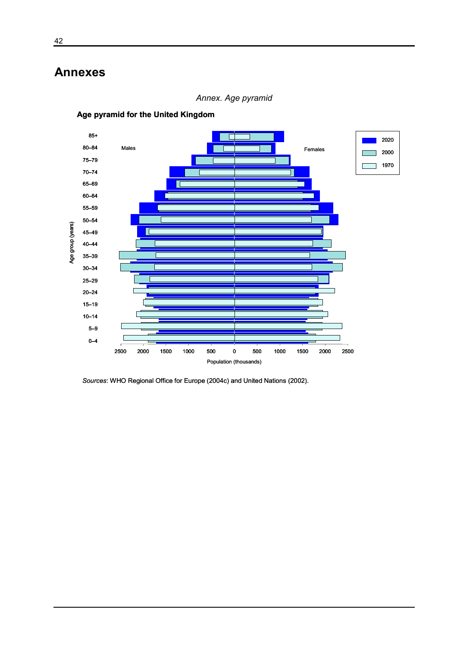## Annexes



Annex. Age pyramid

Age pyramid for the United Kingdom

Sources: WHO Regional Office for Europe (2004c) and United Nations (2002).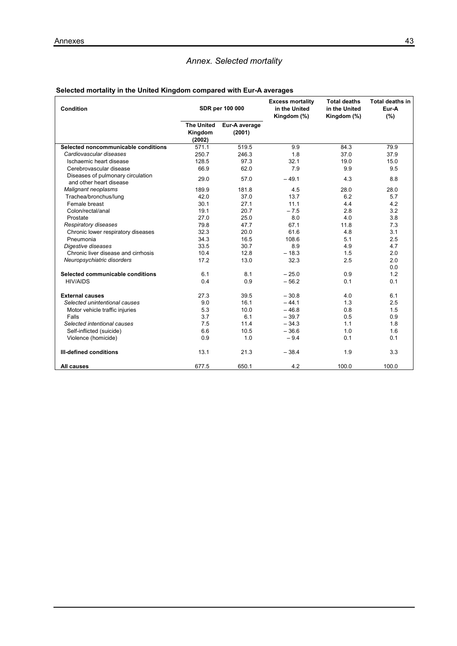## Annex. Selected mortality

## Selected mortality in the United Kingdom compared with Eur-A averages

| Condition                                                    | SDR per 100 000                        |                         | <b>Excess mortality</b><br>in the United<br>Kingdom (%) | <b>Total deaths</b><br>in the United<br>Kingdom (%) | <b>Total deaths in</b><br>Eur-A<br>(%) |
|--------------------------------------------------------------|----------------------------------------|-------------------------|---------------------------------------------------------|-----------------------------------------------------|----------------------------------------|
|                                                              | <b>The United</b><br>Kingdom<br>(2002) | Eur-A average<br>(2001) |                                                         |                                                     |                                        |
| Selected noncommunicable conditions                          | 571.1                                  | 519.5                   | 9.9                                                     | 84.3                                                | 79.9                                   |
| Cardiovascular diseases                                      | 250.7                                  | 246.3                   | 1.8                                                     | 37.0                                                | 37.9                                   |
| Ischaemic heart disease                                      | 128.5                                  | 97.3                    | 32.1                                                    | 19.0                                                | 15.0                                   |
| Cerebrovascular disease                                      | 66.9                                   | 62.0                    | 7.9                                                     | 9.9                                                 | 9.5                                    |
| Diseases of pulmonary circulation<br>and other heart disease | 29.0                                   | 57.0                    | $-49.1$                                                 | 4.3                                                 | 8.8                                    |
| Malignant neoplasms                                          | 189.9                                  | 181.8                   | 4.5                                                     | 28.0                                                | 28.0                                   |
| Trachea/bronchus/lung                                        | 42.0                                   | 37.0                    | 13.7                                                    | 6.2                                                 | 5.7                                    |
| Female breast                                                | 30.1                                   | 27.1                    | 11.1                                                    | 4.4                                                 | 4.2                                    |
| Colon/rectal/anal                                            | 19.1                                   | 20.7                    | $-7.5$                                                  | 2.8                                                 | 3.2                                    |
| Prostate                                                     | 27.0                                   | 25.0                    | 8.0                                                     | 4.0                                                 | 3.8                                    |
| Respiratory diseases                                         | 79.8                                   | 47.7                    | 67.1                                                    | 11.8                                                | 7.3                                    |
| Chronic lower respiratory diseases                           | 32.3                                   | 20.0                    | 61.6                                                    | 4.8                                                 | 3.1                                    |
| Pneumonia                                                    | 34.3                                   | 16.5                    | 108.6                                                   | 5.1                                                 | 2.5                                    |
| Digestive diseases                                           | 33.5                                   | 30.7                    | 8.9                                                     | 4.9                                                 | 4.7                                    |
| Chronic liver disease and cirrhosis                          | 10.4                                   | 12.8                    | $-18.3$                                                 | 1.5                                                 | 2.0                                    |
| Neuropsychiatric disorders                                   | 17.2                                   | 13.0                    | 32.3                                                    | 2.5                                                 | 2.0<br>0.0                             |
| Selected communicable conditions                             | 6.1                                    | 8.1                     | $-25.0$                                                 | 0.9                                                 | 1.2                                    |
| <b>HIV/AIDS</b>                                              | 0.4                                    | 0.9                     | $-56.2$                                                 | 0.1                                                 | 0.1                                    |
| <b>External causes</b>                                       | 27.3                                   | 39.5                    | $-30.8$                                                 | 4.0                                                 | 6.1                                    |
| Selected unintentional causes                                | 9.0                                    | 16.1                    | $-44.1$                                                 | 1.3                                                 | 2.5                                    |
| Motor vehicle traffic injuries                               | 5.3                                    | 10.0                    | $-46.8$                                                 | 0.8                                                 | 1.5                                    |
| Falls                                                        | 3.7                                    | 6.1                     | $-39.7$                                                 | 0.5                                                 | 0.9                                    |
| Selected intentional causes                                  | 7.5                                    | 11.4                    | $-34.3$                                                 | 1.1                                                 | 1.8                                    |
| Self-inflicted (suicide)                                     | 6.6                                    | 10.5                    | $-36.6$                                                 | 1.0                                                 | 1.6                                    |
| Violence (homicide)                                          | 0.9                                    | 1.0                     | $-9.4$                                                  | 0.1                                                 | 0.1                                    |
| <b>III-defined conditions</b>                                | 13.1                                   | 21.3                    | $-38.4$                                                 | 1.9                                                 | 3.3                                    |
| <b>All causes</b>                                            | 677.5                                  | 650.1                   | 4.2                                                     | 100.0                                               | 100.0                                  |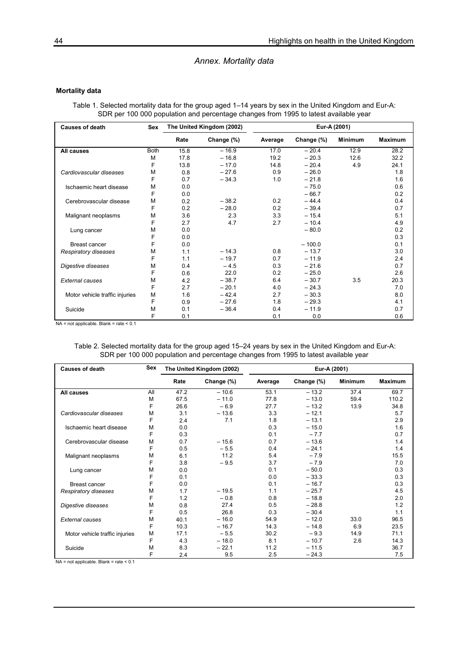#### Annex. Mortality data

#### Mortality data

Table 1. Selected mortality data for the group aged 1–14 years by sex in the United Kingdom and Eur-A: SDR per 100 000 population and percentage changes from 1995 to latest available year

| <b>Causes of death</b>         | <b>Sex</b>  | The United Kingdom (2002) |            |         | Eur-A (2001) |                |                |
|--------------------------------|-------------|---------------------------|------------|---------|--------------|----------------|----------------|
|                                |             | Rate                      | Change (%) | Average | Change (%)   | <b>Minimum</b> | <b>Maximum</b> |
| All causes                     | <b>Both</b> | 15.8                      | $-16.9$    | 17.0    | $-20.4$      | 12.9           | 28.2           |
|                                | M           | 17.8                      | $-16.8$    | 19.2    | $-20.3$      | 12.6           | 32.2           |
|                                | F           | 13.8                      | $-17.0$    | 14.8    | $-20.4$      | 4.9            | 24.1           |
| Cardiovascular diseases        | M           | 0.8                       | $-27.6$    | 0.9     | $-26.0$      |                | 1.8            |
|                                | F           | 0.7                       | $-34.3$    | 1.0     | $-21.8$      |                | 1.6            |
| Ischaemic heart disease        | M           | 0.0                       |            |         | $-75.0$      |                | 0.6            |
|                                | F           | 0.0                       |            |         | $-66.7$      |                | 0.2            |
| Cerebrovascular disease        | M           | 0.2                       | $-38.2$    | 0.2     | $-44.4$      |                | 0.4            |
|                                | F           | 0.2                       | $-28.0$    | 0.2     | $-39.4$      |                | 0.7            |
| Malignant neoplasms            | M           | 3.6                       | 2.3        | 3.3     | $-15.4$      |                | 5.1            |
|                                | F           | 2.7                       | 4.7        | 2.7     | $-10.4$      |                | 4.9            |
| Lung cancer                    | M           | 0.0                       |            |         | $-80.0$      |                | 0.2            |
|                                | F           | 0.0                       |            |         |              |                | 0.3            |
| Breast cancer                  | F           | 0.0                       |            |         | $-100.0$     |                | 0.1            |
| Respiratory diseases           | М           | 1.1                       | $-14.3$    | 0.8     | $-13.7$      |                | 3.0            |
|                                | F           | 1.1                       | $-19.7$    | 0.7     | $-11.9$      |                | 2.4            |
| Digestive diseases             | M           | 0.4                       | $-4.5$     | 0.3     | $-21.6$      |                | 0.7            |
|                                | F           | 0.6                       | 22.0       | 0.2     | $-25.0$      |                | 2.6            |
| <b>External causes</b>         | M           | 4.2                       | $-38.7$    | 6.4     | $-30.7$      | 3.5            | 20.3           |
|                                | F           | 2.7                       | $-20.1$    | 4.0     | $-24.3$      |                | 7.0            |
| Motor vehicle traffic injuries | M           | 1.6                       | $-42.4$    | 2.7     | $-30.3$      |                | 8.0            |
|                                | F           | 0.9                       | $-27.6$    | 1.8     | $-29.3$      |                | 4.1            |
| Suicide                        | М           | 0.1                       | $-36.4$    | 0.4     | $-11.9$      |                | 0.7            |
|                                | F           | 0.1                       |            | 0.1     | 0.0          |                | 0.6            |

 $NA = not applicable.$  Blank = rate < 0.1

 Table 2. Selected mortality data for the group aged 15–24 years by sex in the United Kingdom and Eur-A: SDR per 100 000 population and percentage changes from 1995 to latest available year

| <b>Causes of death</b>         | Sex | The United Kingdom (2002) |            |         | Eur-A (2001) |         |                |
|--------------------------------|-----|---------------------------|------------|---------|--------------|---------|----------------|
|                                |     | Rate                      | Change (%) | Average | Change (%)   | Minimum | <b>Maximum</b> |
| All causes                     | All | 47.2                      | $-10.6$    | 53.1    | $-13.2$      | 37.4    | 69.7           |
|                                | M   | 67.5                      | $-11.0$    | 77.8    | $-13.0$      | 59.4    | 110.2          |
|                                | F   | 26.6                      | $-6.9$     | 27.7    | $-13.2$      | 13.9    | 34.8           |
| Cardiovascular diseases        | M   | 3.1                       | $-13.6$    | 3.3     | $-12.1$      |         | 5.7            |
|                                | F   | 2.4                       | 7.1        | 1.8     | $-13.1$      |         | 2.9            |
| Ischaemic heart disease        | M   | 0.0                       |            | 0.3     | $-15.0$      |         | 1.6            |
|                                | F   | 0.3                       |            | 0.1     | $-7.7$       |         | 0.7            |
| Cerebrovascular disease        | M   | 0.7                       | $-15.6$    | 0.7     | $-13.6$      |         | 1.4            |
|                                | F   | 0.5                       | $-5.5$     | 0.4     | $-24.1$      |         | 1.4            |
| Malignant neoplasms            | M   | 6.1                       | 11.2       | 5.4     | $-7.9$       |         | 15.5           |
|                                | F   | 3.8                       | $-9.5$     | 3.7     | $-7.9$       |         | 7.0            |
| Lung cancer                    | M   | 0.0                       |            | 0.1     | $-50.0$      |         | 0.3            |
|                                | F   | 0.1                       |            | 0.0     | $-33.3$      |         | 0.3            |
| Breast cancer                  | F   | 0.0                       |            | 0.1     | $-16.7$      |         | 0.3            |
| Respiratory diseases           | M   | 1.7                       | $-19.5$    | 1.1     | $-25.7$      |         | 4.5            |
|                                | F   | 1.2                       | $-0.8$     | 0.8     | $-18.8$      |         | 2.0            |
| Digestive diseases             | M   | 0.8                       | 27.4       | 0.5     | $-28.8$      |         | 1.2            |
|                                | F   | 0.5                       | 26.8       | 0.3     | $-30.4$      |         | 1.1            |
| <b>External causes</b>         | M   | 40.1                      | $-16.0$    | 54.9    | $-12.0$      | 33.0    | 96.5           |
|                                | F   | 10.3                      | $-16.7$    | 14.3    | $-14.8$      | 6.9     | 23.5           |
| Motor vehicle traffic injuries | M   | 17.1                      | $-5.5$     | 30.2    | $-9.3$       | 14.9    | 71.1           |
|                                | F   | 4.3                       | $-18.0$    | 8.1     | $-10.7$      | 2.6     | 14.3           |
| Suicide                        | M   | 8.3                       | $-22.1$    | 11.2    | $-11.5$      |         | 36.7           |
|                                | F   | 2.4                       | 9.5        | 2.5     | $-24.3$      |         | 7.5            |

 $NA = not applicable. Blank = rate < 0.1$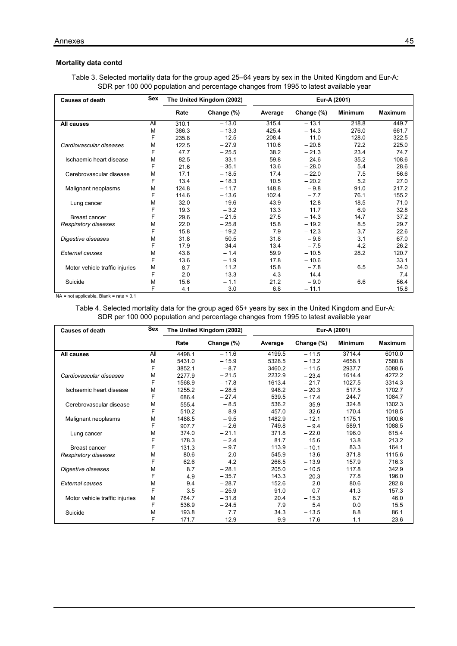#### Mortality data contd

| SDR per 100 000 population and percentage changes from 1995 to latest available year |            |                           |            |              |            |                |                |
|--------------------------------------------------------------------------------------|------------|---------------------------|------------|--------------|------------|----------------|----------------|
| <b>Causes of death</b>                                                               | <b>Sex</b> | The United Kingdom (2002) |            | Eur-A (2001) |            |                |                |
|                                                                                      |            | Rate                      | Change (%) | Average      | Change (%) | <b>Minimum</b> | <b>Maximum</b> |
| All causes                                                                           | ΑIΙ        | 310.1                     | $-13.0$    | 315.4        | $-13.1$    | 218.8          | 449.7          |
|                                                                                      | М          | 386.3                     | $-13.3$    | 425.4        | $-14.3$    | 276.0          | 661.7          |
|                                                                                      | F          | 235.8                     | $-12.5$    | 208.4        | $-11.0$    | 128.0          | 322.5          |
| Cardiovascular diseases                                                              | м          | 122.5                     | $-27.9$    | 110.6        | $-20.8$    | 72.2           | 225.0          |

F 47.7 – 25.5 38.2 – 21.3 23.4 74.7 M 82.5 – 33.1 59.8 – 24.6 35.2 108.6 F 21.6 – 35.1 13.6 – 28.0 5.4 28.6 M 17.1 – 18.5 17.4 – 22.0 7.5 56.6 F 13.4 – 18.3 10.5 – 20.2 5.2 27.0 M 124.8 – 11.7 148.8 – 9.8 91.0 217.2 F 114.6 – 13.6 102.4 – 7.7 76.1 155.2 M 32.0 – 19.6 43.9 – 12.8 18.5 71.0 F 19.3 – 3.2 13.3 11.7 6.9 32.8

M 22.0 – 25.8 15.8 – 19.2 8.5 29.7 F 15.8 – 19.2 7.9 – 12.3 3.7 22.6 M 31.8 50.5 31.8 – 9.6 3.1 67.0 F 17.9 34.4 13.4 – 7.5 4.2 26.2 M 43.8 – 1.4 59.9 – 10.5 28.2 120.7 F 13.6 – 1.9 17.8 – 10.6 33.1 M 8.7 11.2 15.8 – 7.8 6.5 34.0 F 2.0 – 13.3 4.3 – 14.4 7.4 M 15.6 – 1.1 21.2 – 9.0 6.6 56.4  $F$  4.1 3.0 6.8 – 11.1 15.8

Table 3. Selected mortality data for the group aged 25–64 years by sex in the United Kingdom and Eur-A:

NA = not applicable. Blank = rate < 0.1

Motor vehicle traffic injuries

Malignant neoplasms

Ischaemic heart disease Cerebrovascular disease

Lung cancer

Respiratory diseases Digestive diseases

External causes

Suicide

 Table 4. Selected mortality data for the group aged 65+ years by sex in the United Kingdom and Eur-A: SDR per 100 000 population and percentage changes from 1995 to latest available year

Breast cancer F 29.6 – 21.5 27.5 – 14.3 14.7 37.2

| <b>Causes of death</b>         | Sex | The United Kingdom (2002) |            |         |            | Eur-A (2001)   |                |
|--------------------------------|-----|---------------------------|------------|---------|------------|----------------|----------------|
|                                |     | Rate                      | Change (%) | Average | Change (%) | <b>Minimum</b> | <b>Maximum</b> |
| All causes                     | All | 4498.1                    | $-11.6$    | 4199.5  | $-11.5$    | 3714.4         | 6010.0         |
|                                | M   | 5431.0                    | $-15.9$    | 5328.5  | $-13.2$    | 4658.1         | 7580.8         |
|                                | F   | 3852.1                    | $-8.7$     | 3460.2  | $-11.5$    | 2937.7         | 5088.6         |
| Cardiovascular diseases        | M   | 2277.9                    | $-21.5$    | 2232.9  | $-23.4$    | 1614.4         | 4272.2         |
|                                | F   | 1568.9                    | $-17.8$    | 1613.4  | $-21.7$    | 1027.5         | 3314.3         |
| Ischaemic heart disease        | М   | 1255.2                    | $-28.5$    | 948.2   | $-20.3$    | 517.5          | 1702.7         |
|                                | F   | 686.4                     | $-27.4$    | 539.5   | $-17.4$    | 244.7          | 1084.7         |
| Cerebrovascular disease        | М   | 555.4                     | $-8.5$     | 536.2   | $-35.9$    | 324.8          | 1302.3         |
|                                | F   | 510.2                     | $-8.9$     | 457.0   | $-32.6$    | 170.4          | 1018.5         |
| Malignant neoplasms            | М   | 1488.5                    | $-9.5$     | 1482.9  | $-12.1$    | 1175.1         | 1900.6         |
|                                | F   | 907.7                     | $-2.6$     | 749.8   | $-9.4$     | 589.1          | 1088.5         |
| Lung cancer                    | М   | 374.0                     | $-21.1$    | 371.8   | $-22.0$    | 196.0          | 615.4          |
|                                | F   | 178.3                     | $-2.4$     | 81.7    | 15.6       | 13.8           | 213.2          |
| <b>Breast cancer</b>           | F   | 131.3                     | $-9.7$     | 113.9   | $-10.1$    | 83.3           | 164.1          |
| Respiratory diseases           | М   | 80.6                      | $-2.0$     | 545.9   | $-13.6$    | 371.8          | 1115.6         |
|                                | F   | 62.6                      | 4.2        | 266.5   | $-13.9$    | 157.9          | 716.3          |
| Digestive diseases             | М   | 8.7                       | $-28.1$    | 205.0   | $-10.5$    | 117.8          | 342.9          |
|                                | F   | 4.9                       | $-35.7$    | 143.3   | $-20.3$    | 77.8           | 196.0          |
| External causes                | М   | 9.4                       | $-28.7$    | 152.6   | 2.0        | 80.6           | 282.8          |
|                                | F   | 3.5                       | $-25.9$    | 91.0    | 0.7        | 41.3           | 157.3          |
| Motor vehicle traffic injuries | М   | 784.7                     | $-31.8$    | 20.4    | $-15.3$    | 8.7            | 46.0           |
|                                | F   | 536.9                     | $-24.5$    | 7.9     | 5.4        | 0.0            | 15.5           |
| Suicide                        | М   | 193.8                     | 7.7        | 34.3    | $-13.5$    | 8.8            | 86.1           |
|                                | F   | 171.7                     | 12.9       | 9.9     | $-17.6$    | 1.1            | 23.6           |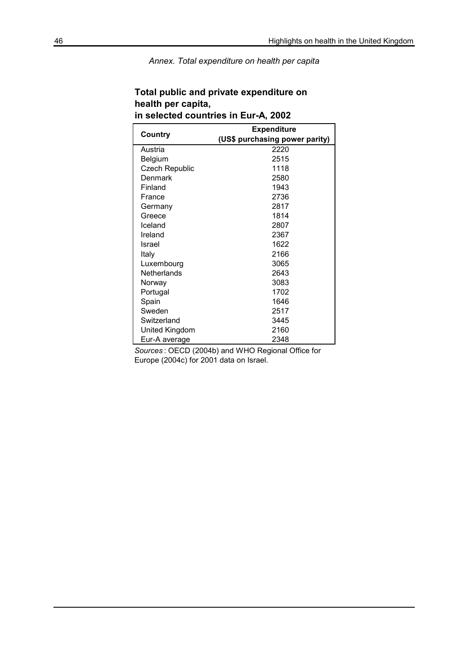Annex. Total expenditure on health per capita

|                       | <b>Expenditure</b>             |
|-----------------------|--------------------------------|
| Country               | (US\$ purchasing power parity) |
| Austria               | 2220                           |
| Belgium               | 2515                           |
| <b>Czech Republic</b> | 1118                           |
| Denmark               | 2580                           |
| Finland               | 1943                           |
| France                | 2736                           |
| Germany               | 2817                           |
| Greece                | 1814                           |
| Iceland               | 2807                           |
| Ireland               | 2367                           |
| Israel                | 1622                           |
| Italy                 | 2166                           |
| Luxembourg            | 3065                           |
| <b>Netherlands</b>    | 2643                           |
| Norway                | 3083                           |
| Portugal              | 1702                           |
| Spain                 | 1646                           |
| Sweden                | 2517                           |
| Switzerland           | 3445                           |
| United Kingdom        | 2160                           |
| Eur-A average         | 2348                           |

## Total public and private expenditure on health per capita, in selected countries in Eur-A, 2002

Sources : OECD (2004b) and WHO Regional Office for Europe (2004c) for 2001 data on Israel.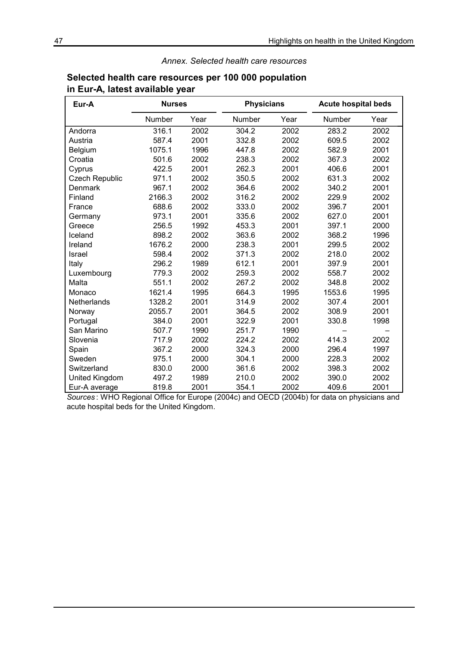### Annex. Selected health care resources

| Eur-A              | <b>Nurses</b> |      | <b>Physicians</b> |      | <b>Acute hospital beds</b> |      |
|--------------------|---------------|------|-------------------|------|----------------------------|------|
|                    | Number        | Year | Number            | Year | Number                     | Year |
| Andorra            | 316.1         | 2002 | 304.2             | 2002 | 283.2                      | 2002 |
| Austria            | 587.4         | 2001 | 332.8             | 2002 | 609.5                      | 2002 |
| Belgium            | 1075.1        | 1996 | 447.8             | 2002 | 582.9                      | 2001 |
| Croatia            | 501.6         | 2002 | 238.3             | 2002 | 367.3                      | 2002 |
| Cyprus             | 422.5         | 2001 | 262.3             | 2001 | 406.6                      | 2001 |
| Czech Republic     | 971.1         | 2002 | 350.5             | 2002 | 631.3                      | 2002 |
| Denmark            | 967.1         | 2002 | 364.6             | 2002 | 340.2                      | 2001 |
| Finland            | 2166.3        | 2002 | 316.2             | 2002 | 229.9                      | 2002 |
| France             | 688.6         | 2002 | 333.0             | 2002 | 396.7                      | 2001 |
| Germany            | 973.1         | 2001 | 335.6             | 2002 | 627.0                      | 2001 |
| Greece             | 256.5         | 1992 | 453.3             | 2001 | 397.1                      | 2000 |
| Iceland            | 898.2         | 2002 | 363.6             | 2002 | 368.2                      | 1996 |
| Ireland            | 1676.2        | 2000 | 238.3             | 2001 | 299.5                      | 2002 |
| <b>Israel</b>      | 598.4         | 2002 | 371.3             | 2002 | 218.0                      | 2002 |
| Italy              | 296.2         | 1989 | 612.1             | 2001 | 397.9                      | 2001 |
| Luxembourg         | 779.3         | 2002 | 259.3             | 2002 | 558.7                      | 2002 |
| Malta              | 551.1         | 2002 | 267.2             | 2002 | 348.8                      | 2002 |
| Monaco             | 1621.4        | 1995 | 664.3             | 1995 | 1553.6                     | 1995 |
| <b>Netherlands</b> | 1328.2        | 2001 | 314.9             | 2002 | 307.4                      | 2001 |
| Norway             | 2055.7        | 2001 | 364.5             | 2002 | 308.9                      | 2001 |
| Portugal           | 384.0         | 2001 | 322.9             | 2001 | 330.8                      | 1998 |
| San Marino         | 507.7         | 1990 | 251.7             | 1990 |                            |      |
| Slovenia           | 717.9         | 2002 | 224.2             | 2002 | 414.3                      | 2002 |
| Spain              | 367.2         | 2000 | 324.3             | 2000 | 296.4                      | 1997 |
| Sweden             | 975.1         | 2000 | 304.1             | 2000 | 228.3                      | 2002 |
| Switzerland        | 830.0         | 2000 | 361.6             | 2002 | 398.3                      | 2002 |
| United Kingdom     | 497.2         | 1989 | 210.0             | 2002 | 390.0                      | 2002 |
| Eur-A average      | 819.8         | 2001 | 354.1             | 2002 | 409.6                      | 2001 |

## Selected health care resources per 100 000 population in Eur-A, latest available year

Sources : WHO Regional Office for Europe (2004c) and OECD (2004b) for data on physicians and acute hospital beds for the United Kingdom.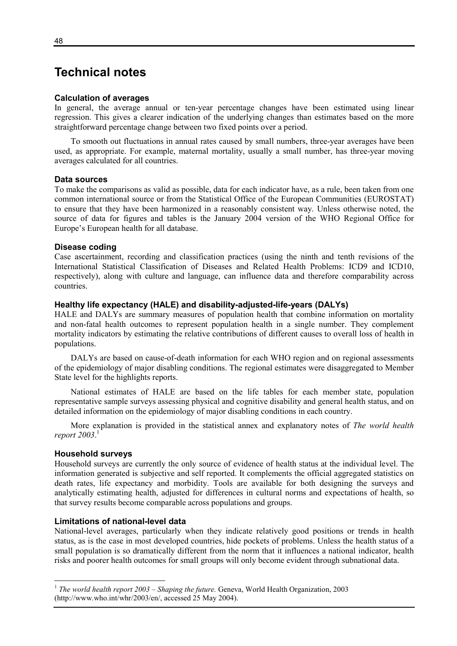## Technical notes

#### Calculation of averages

In general, the average annual or ten-year percentage changes have been estimated using linear regression. This gives a clearer indication of the underlying changes than estimates based on the more straightforward percentage change between two fixed points over a period.

 To smooth out fluctuations in annual rates caused by small numbers, three-year averages have been used, as appropriate. For example, maternal mortality, usually a small number, has three-year moving averages calculated for all countries.

#### Data sources

To make the comparisons as valid as possible, data for each indicator have, as a rule, been taken from one common international source or from the Statistical Office of the European Communities (EUROSTAT) to ensure that they have been harmonized in a reasonably consistent way. Unless otherwise noted, the source of data for figures and tables is the January 2004 version of the WHO Regional Office for Europe's European health for all database.

#### Disease coding

Case ascertainment, recording and classification practices (using the ninth and tenth revisions of the International Statistical Classification of Diseases and Related Health Problems: ICD9 and ICD10, respectively), along with culture and language, can influence data and therefore comparability across countries.

#### Healthy life expectancy (HALE) and disability-adjusted-life-years (DALYs)

HALE and DALYs are summary measures of population health that combine information on mortality and non-fatal health outcomes to represent population health in a single number. They complement mortality indicators by estimating the relative contributions of different causes to overall loss of health in populations.

 DALYs are based on cause-of-death information for each WHO region and on regional assessments of the epidemiology of major disabling conditions. The regional estimates were disaggregated to Member State level for the highlights reports.

 National estimates of HALE are based on the life tables for each member state, population representative sample surveys assessing physical and cognitive disability and general health status, and on detailed information on the epidemiology of major disabling conditions in each country.

More explanation is provided in the statistical annex and explanatory notes of The world health report 2003. $^{\rm l}$ 

#### Household surveys

 $\overline{a}$ 

Household surveys are currently the only source of evidence of health status at the individual level. The information generated is subjective and self reported. It complements the official aggregated statistics on death rates, life expectancy and morbidity. Tools are available for both designing the surveys and analytically estimating health, adjusted for differences in cultural norms and expectations of health, so that survey results become comparable across populations and groups.

#### Limitations of national-level data

National-level averages, particularly when they indicate relatively good positions or trends in health status, as is the case in most developed countries, hide pockets of problems. Unless the health status of a small population is so dramatically different from the norm that it influences a national indicator, health risks and poorer health outcomes for small groups will only become evident through subnational data.

<sup>&</sup>lt;sup>1</sup> The world health report 2003 – Shaping the future. Geneva, World Health Organization, 2003 (http://www.who.int/whr/2003/en/, accessed 25 May 2004).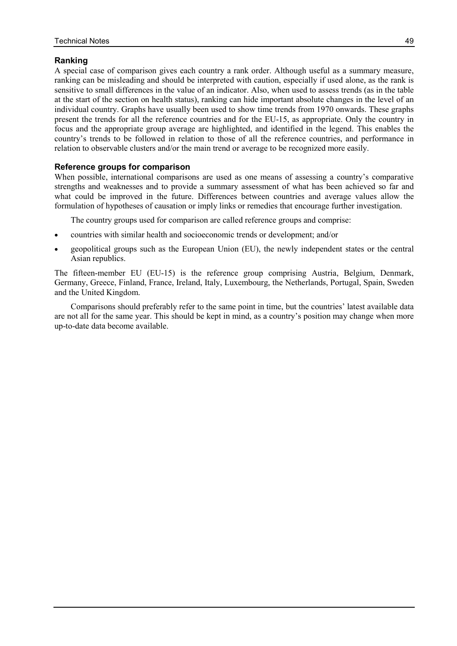## Ranking

A special case of comparison gives each country a rank order. Although useful as a summary measure, ranking can be misleading and should be interpreted with caution, especially if used alone, as the rank is sensitive to small differences in the value of an indicator. Also, when used to assess trends (as in the table at the start of the section on health status), ranking can hide important absolute changes in the level of an individual country. Graphs have usually been used to show time trends from 1970 onwards. These graphs present the trends for all the reference countries and for the EU-15, as appropriate. Only the country in focus and the appropriate group average are highlighted, and identified in the legend. This enables the country's trends to be followed in relation to those of all the reference countries, and performance in relation to observable clusters and/or the main trend or average to be recognized more easily.

## Reference groups for comparison

When possible, international comparisons are used as one means of assessing a country's comparative strengths and weaknesses and to provide a summary assessment of what has been achieved so far and what could be improved in the future. Differences between countries and average values allow the formulation of hypotheses of causation or imply links or remedies that encourage further investigation.

The country groups used for comparison are called reference groups and comprise:

- countries with similar health and socioeconomic trends or development; and/or
- geopolitical groups such as the European Union (EU), the newly independent states or the central Asian republics.

The fifteen-member EU (EU-15) is the reference group comprising Austria, Belgium, Denmark, Germany, Greece, Finland, France, Ireland, Italy, Luxembourg, the Netherlands, Portugal, Spain, Sweden and the United Kingdom.

 Comparisons should preferably refer to the same point in time, but the countries' latest available data are not all for the same year. This should be kept in mind, as a country's position may change when more up-to-date data become available.